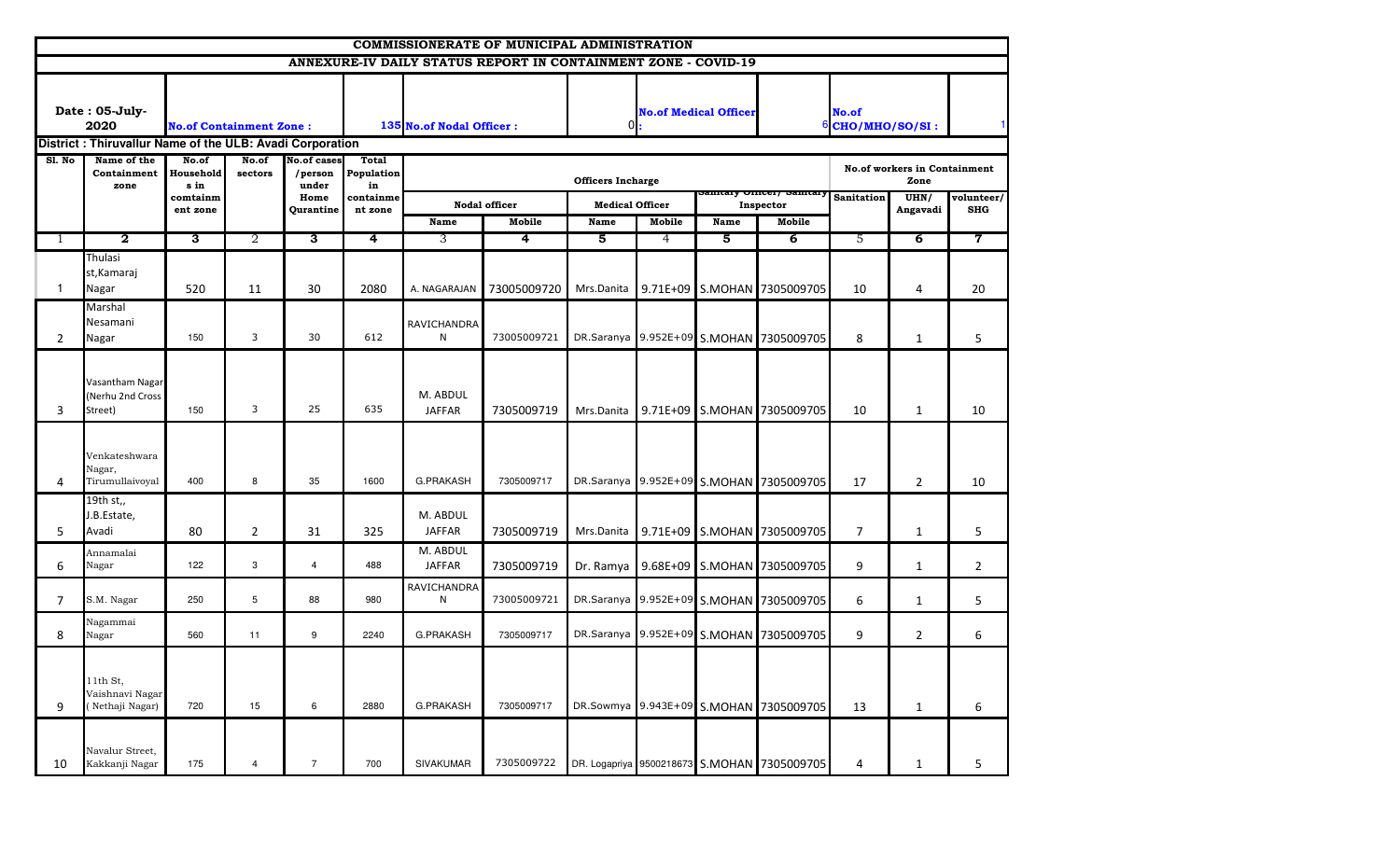|                |                                                          |                                |                  |                                        |                                  |                           | <b>COMMISSIONERATE OF MUNICIPAL ADMINISTRATION</b>             |                          |        |                              |                                             |                              |                                      |                          |
|----------------|----------------------------------------------------------|--------------------------------|------------------|----------------------------------------|----------------------------------|---------------------------|----------------------------------------------------------------|--------------------------|--------|------------------------------|---------------------------------------------|------------------------------|--------------------------------------|--------------------------|
|                |                                                          |                                |                  |                                        |                                  |                           | ANNEXURE-IV DAILY STATUS REPORT IN CONTAINMENT ZONE - COVID-19 |                          |        |                              |                                             |                              |                                      |                          |
|                | Date: 05-July-<br>2020                                   | <b>No.of Containment Zone:</b> |                  |                                        |                                  | 135 No.of Nodal Officer:  |                                                                |                          |        | <b>No.of Medical Officer</b> |                                             | No.of<br>$6$ CHO/MHO/SO/SI : |                                      |                          |
|                | District: Thiruvallur Name of the ULB: Avadi Corporation |                                |                  |                                        |                                  |                           |                                                                |                          |        |                              |                                             |                              |                                      |                          |
| SI. No         | Name of the<br>Containment<br>zone                       | No.of<br>Household<br>s in     | No.of<br>sectors | <b>No.of cases</b><br>/person<br>under | <b>Total</b><br>Population<br>in |                           |                                                                | <b>Officers Incharge</b> |        |                              | Sannary Omcer, Sannary Sanitation           |                              | No.of workers in Containment<br>Zone |                          |
|                |                                                          | comtainm<br>ent zone           |                  | Home<br>Qurantine                      | containme<br>nt zone             |                           | <b>Nodal officer</b>                                           | <b>Medical Officer</b>   |        |                              | Inspector                                   |                              | UHN/<br>Angavadi                     | volunteer/<br><b>SHG</b> |
|                | $\overline{2}$                                           |                                | $\overline{2}$   | 3                                      | 4                                | Name                      | Mobile                                                         | Name                     | Mobile | Name<br>5                    | Mobile                                      |                              | $\overline{6}$                       | 7                        |
| 1              |                                                          | $\overline{\mathbf{3}}$        |                  |                                        |                                  | 3                         | 4                                                              | 5                        | 4      |                              | $\overline{6}$                              | 5                            |                                      |                          |
| $\mathbf{1}$   | Thulasi<br>st, Kamaraj<br>Nagar                          | 520                            | 11               | 30                                     | 2080                             | A. NAGARAJAN              | 73005009720                                                    | Mrs.Danita               |        |                              | 9.71E+09 S.MOHAN 7305009705                 | 10                           | 4                                    | 20                       |
| $\overline{2}$ | Marshal<br>Nesamani<br>Nagar                             | 150                            | 3                | 30                                     | 612                              | RAVICHANDRA<br>N          | 73005009721                                                    |                          |        |                              | DR.Saranya 9.952E+09 S.MOHAN 7305009705     | 8                            | $\mathbf{1}$                         | 5                        |
| 3              | Vasantham Nagar<br>Nerhu 2nd Cross)<br>Street)           | 150                            | 3                | 25                                     | 635                              | M. ABDUL<br><b>JAFFAR</b> | 7305009719                                                     | Mrs.Danita               |        |                              | 9.71E+09 S.MOHAN 7305009705                 | 10                           | $\mathbf{1}$                         | 10                       |
| 4              | Venkateshwara<br>Nagar,<br>Tirumullaivoyal               | 400                            | 8                | 35                                     | 1600                             | <b>G.PRAKASH</b>          | 7305009717                                                     |                          |        |                              | DR.Saranya 9.952E+09 S.MOHAN 7305009705     | 17                           | $\overline{2}$                       | 10                       |
| 5              | 19th st,,<br>J.B.Estate,<br>Avadi                        | 80                             | $\overline{2}$   | 31                                     | 325                              | M. ABDUL<br><b>JAFFAR</b> | 7305009719                                                     | Mrs.Danita               |        |                              | 9.71E+09 S.MOHAN 7305009705                 | $\overline{7}$               | $\mathbf{1}$                         | 5                        |
| 6              | Annamalai<br>Nagar                                       | 122                            | 3                | $\overline{4}$                         | 488                              | M. ABDUL<br><b>JAFFAR</b> | 7305009719                                                     | Dr. Ramya                |        |                              | 9.68E+09 S.MOHAN 7305009705                 | 9                            | $\mathbf{1}$                         | $\overline{2}$           |
| $7^{\circ}$    | S.M. Nagar                                               | 250                            | 5                | 88                                     | 980                              | RAVICHANDRA<br>N          | 73005009721                                                    |                          |        |                              | DR.Saranya 9.952E+09 S.MOHAN 7305009705     | 6                            | $\mathbf{1}$                         | 5                        |
| 8              | Nagammai<br>Nagar                                        | 560                            | 11               | 9                                      | 2240                             | <b>G.PRAKASH</b>          | 7305009717                                                     |                          |        |                              | DR.Saranya 9.952E+09 S.MOHAN 7305009705     | 9                            | $\overline{2}$                       | 6                        |
| 9              | 11th St,<br>Vaishnavi Nagar<br>(Nethaji Nagar)           | 720                            | 15               | 6                                      | 2880                             | G.PRAKASH                 | 7305009717                                                     |                          |        |                              | DR.Sowmya 9.943E+09 S.MOHAN 7305009705      | 13                           | $\mathbf{1}$                         | 6                        |
| 10             | Navalur Street,<br>Kakkanji Nagar                        | 175                            | 4                | $\overline{7}$                         | 700                              | SIVAKUMAR                 | 7305009722                                                     |                          |        |                              | DR. Logapriya 9500218673 S.MOHAN 7305009705 | 4                            | $\mathbf{1}$                         | 5                        |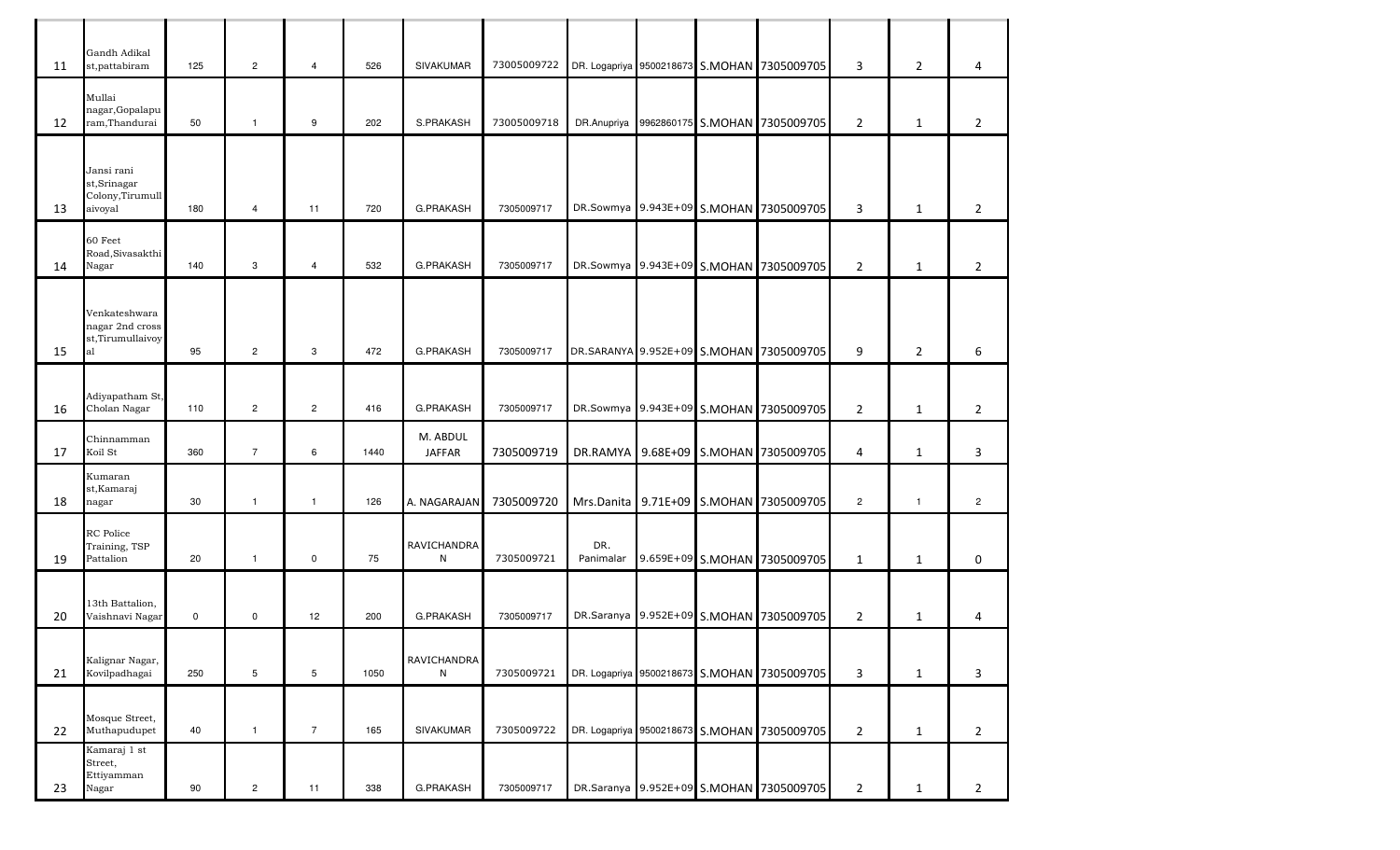| 11 | Gandh Adikal<br>st,pattabiram                            | 125 | $\overline{2}$ | 4              | 526  | <b>SIVAKUMAR</b>          | 73005009722 |                  |  | DR. Logapriya 9500218673 S.MOHAN 7305009705 | 3              | $\overline{2}$ | 4              |
|----|----------------------------------------------------------|-----|----------------|----------------|------|---------------------------|-------------|------------------|--|---------------------------------------------|----------------|----------------|----------------|
| 12 | Mullai<br>nagar, Gopalapu<br>ram,Thandurai               | 50  | $\mathbf{1}$   | 9              | 202  | S.PRAKASH                 | 73005009718 |                  |  | DR.Anupriya 9962860175 S.MOHAN 7305009705   | $\overline{2}$ | 1              | $\overline{2}$ |
|    |                                                          |     |                |                |      |                           |             |                  |  |                                             |                |                |                |
| 13 | Jansi rani<br>st, Srinagar<br>Colony,Tirumull<br>aivoyal | 180 | $\overline{4}$ | 11             | 720  | G.PRAKASH                 | 7305009717  |                  |  | DR.Sowmya 9.943E+09 S.MOHAN 7305009705      | 3              | $\mathbf{1}$   | $\overline{2}$ |
| 14 | 60 Feet<br>Road, Sivasakthi<br>Nagar                     | 140 | 3              | $\overline{4}$ | 532  | G.PRAKASH                 | 7305009717  |                  |  | DR.Sowmya 9.943E+09 S.MOHAN 7305009705      | $\overline{2}$ | 1              | $\overline{2}$ |
|    | Venkateshwara                                            |     |                |                |      |                           |             |                  |  |                                             |                |                |                |
| 15 | nagar 2nd cross<br>st,Tirumullaivoy<br>al                | 95  | $\overline{2}$ | 3              | 472  | <b>G.PRAKASH</b>          | 7305009717  |                  |  | DR.SARANYA 9.952E+09 S.MOHAN 7305009705     | 9              | $\overline{2}$ | 6              |
|    | Adiyapatham St,                                          |     |                |                |      |                           |             |                  |  |                                             |                |                |                |
| 16 | Cholan Nagar                                             | 110 | $\overline{2}$ | $\overline{2}$ | 416  | G.PRAKASH                 | 7305009717  |                  |  | DR.Sowmya 9.943E+09 S.MOHAN 7305009705      | $\overline{2}$ | $\mathbf{1}$   | $\overline{2}$ |
| 17 | Chinnamman<br>Koil St                                    | 360 | $\overline{7}$ | 6              | 1440 | M. ABDUL<br><b>JAFFAR</b> | 7305009719  | DR.RAMYA         |  | 9.68E+09 S.MOHAN 7305009705                 | 4              | $\mathbf{1}$   | 3              |
| 18 | Kumaran<br>st, Kamaraj<br>nagar                          | 30  | $\mathbf{1}$   | $\mathbf{1}$   | 126  | A. NAGARAJAN              | 7305009720  |                  |  | Mrs.Danita 9.71E+09 S.MOHAN 7305009705      | $\overline{c}$ | $\overline{1}$ | $\overline{2}$ |
| 19 | RC Police<br>Training, TSP<br>Pattalion                  | 20  | $\mathbf{1}$   | $\mathbf 0$    | 75   | RAVICHANDRA<br>N          | 7305009721  | DR.<br>Panimalar |  | 9.659E+09 S.MOHAN 7305009705                | $\mathbf{1}$   | $\mathbf{1}$   | 0              |
|    |                                                          |     |                |                |      |                           |             |                  |  |                                             |                |                |                |
| 20 | 13th Battalion,<br>Vaishnavi Nagar                       | 0   | 0              | 12             | 200  | G.PRAKASH                 | 7305009717  |                  |  | DR.Saranya 9.952E+09 S.MOHAN 7305009705     | $\overline{2}$ | 1              | 4              |
| 21 | Kalignar Nagar,<br>Kovilpadhagai                         | 250 | 5              | 5              | 1050 | <b>RAVICHANDRA</b><br>N   | 7305009721  |                  |  | DR. Logapriya 9500218673 S.MOHAN 7305009705 | 3              | $\mathbf{1}$   | 3              |
|    |                                                          |     |                |                |      |                           |             |                  |  |                                             |                |                |                |
| 22 | Mosque Street,<br>Muthapudupet                           | 40  | $\mathbf{1}$   | $\overline{7}$ | 165  | SIVAKUMAR                 | 7305009722  |                  |  | DR. Logapriya 9500218673 S.MOHAN 7305009705 | $\overline{2}$ | $\mathbf{1}$   | $\overline{2}$ |
| 23 | Kamaraj 1 st<br>Street,<br>Ettiyamman<br>Nagar           | 90  | $\overline{c}$ | 11             | 338  | G.PRAKASH                 | 7305009717  |                  |  | DR.Saranya 9.952E+09 S.MOHAN 7305009705     | $\overline{2}$ | $\mathbf{1}$   | $\overline{2}$ |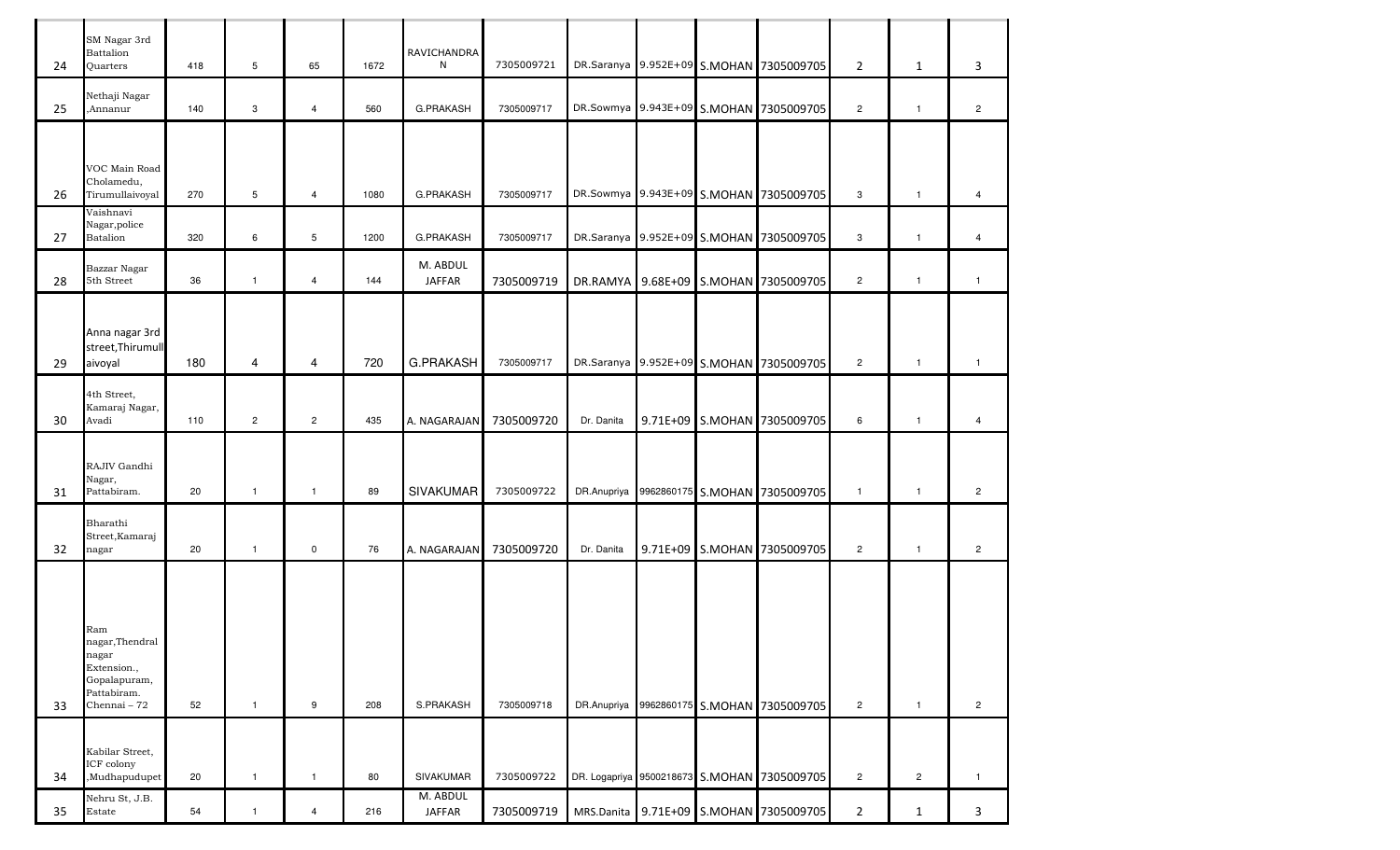| 24 | SM Nagar 3rd<br><b>Battalion</b><br><b>Ouarters</b>                                           | 418 | $5\phantom{.0}$ | 65                   | 1672 | RAVICHANDRA<br>N          | 7305009721 |            |  | DR.Saranya 9.952E+09 S.MOHAN 7305009705     | $\overline{2}$ | $\mathbf{1}$   | 3              |
|----|-----------------------------------------------------------------------------------------------|-----|-----------------|----------------------|------|---------------------------|------------|------------|--|---------------------------------------------|----------------|----------------|----------------|
| 25 | Nethaji Nagar<br>,Annanur                                                                     | 140 | $\mathbf{3}$    | $\overline{4}$       | 560  | <b>G.PRAKASH</b>          | 7305009717 |            |  | DR.Sowmya 9.943E+09 S.MOHAN 7305009705      | $\overline{2}$ | $\mathbf{1}$   | $\overline{2}$ |
|    |                                                                                               |     |                 |                      |      |                           |            |            |  |                                             |                |                |                |
| 26 | VOC Main Road<br>Cholamedu,<br>Tirumullaivoval                                                | 270 | $5\phantom{.0}$ | $\overline{4}$       | 1080 | <b>G.PRAKASH</b>          | 7305009717 |            |  | DR.Sowmya 9.943E+09 S.MOHAN 7305009705      | 3              | $\mathbf{1}$   | 4              |
| 27 | Vaishnavi<br>Nagar, police<br>Batalion                                                        | 320 | 6               | 5                    | 1200 | <b>G.PRAKASH</b>          | 7305009717 |            |  | DR.Saranya 9.952E+09 S.MOHAN 7305009705     | 3              | $\mathbf{1}$   | 4              |
| 28 | Bazzar Nagar<br>5th Street                                                                    | 36  | $\mathbf{1}$    | $\overline{4}$       | 144  | M. ABDUL<br><b>JAFFAR</b> | 7305009719 |            |  | DR.RAMYA 9.68E+09 S.MOHAN 7305009705        | $\overline{2}$ | $\overline{1}$ | $\mathbf{1}$   |
|    | Anna nagar 3rd<br>street, Thirumull                                                           |     |                 |                      |      |                           |            |            |  |                                             |                |                |                |
| 29 | aivoyal                                                                                       | 180 | 4               | 4                    | 720  | <b>G.PRAKASH</b>          | 7305009717 |            |  | DR.Saranya 9.952E+09 S.MOHAN 7305009705     | $\overline{2}$ | $\mathbf{1}$   | $\mathbf{1}$   |
| 30 | 4th Street,<br>Kamaraj Nagar,<br>Avadi                                                        | 110 | $\overline{2}$  | $\mathbf{2}^{\circ}$ | 435  | A. NAGARAJAN              | 7305009720 | Dr. Danita |  | 9.71E+09 S.MOHAN 7305009705                 | 6              | $\mathbf{1}$   | 4              |
| 31 | RAJIV Gandhi<br>Nagar,<br>Pattabiram.                                                         | 20  | $\mathbf{1}$    | $\mathbf{1}$         | 89   | <b>SIVAKUMAR</b>          | 7305009722 |            |  | DR.Anupriya 9962860175 S.MOHAN 7305009705   | $\mathbf{1}$   | $\overline{1}$ | $\overline{2}$ |
| 32 | Bharathi<br>Street, Kamaraj<br>nagar                                                          | 20  | $\mathbf{1}$    | $\mathbf 0$          | 76   | A. NAGARAJAN              | 7305009720 | Dr. Danita |  | 9.71E+09 S.MOHAN 7305009705                 | $\overline{2}$ | $\overline{1}$ | $\overline{2}$ |
| 33 | Ram<br>nagar, Thendral<br>nagar<br>Extension.,<br>Gopalapuram,<br>Pattabiram.<br>Chennai - 72 | 52  | $\mathbf{1}$    | 9                    | 208  | S.PRAKASH                 | 7305009718 |            |  | DR.Anupriya 9962860175 S.MOHAN 7305009705   | $\overline{2}$ | $\mathbf{1}$   | $\overline{2}$ |
| 34 | Kabilar Street,<br>ICF colony<br>,Mudhapudupet                                                | 20  | $\mathbf{1}$    | $\overline{1}$       | 80   | <b>SIVAKUMAR</b>          | 7305009722 |            |  | DR. Logapriya 9500218673 S.MOHAN 7305009705 | $\overline{2}$ | $\overline{2}$ | $\mathbf{1}$   |
| 35 | Nehru St, J.B.<br>Estate                                                                      | 54  | $\mathbf{1}$    | $\overline{4}$       | 216  | M. ABDUL<br><b>JAFFAR</b> | 7305009719 |            |  | MRS.Danita 9.71E+09 S.MOHAN 7305009705      | $\overline{2}$ | $\mathbf{1}$   | $\mathbf{3}$   |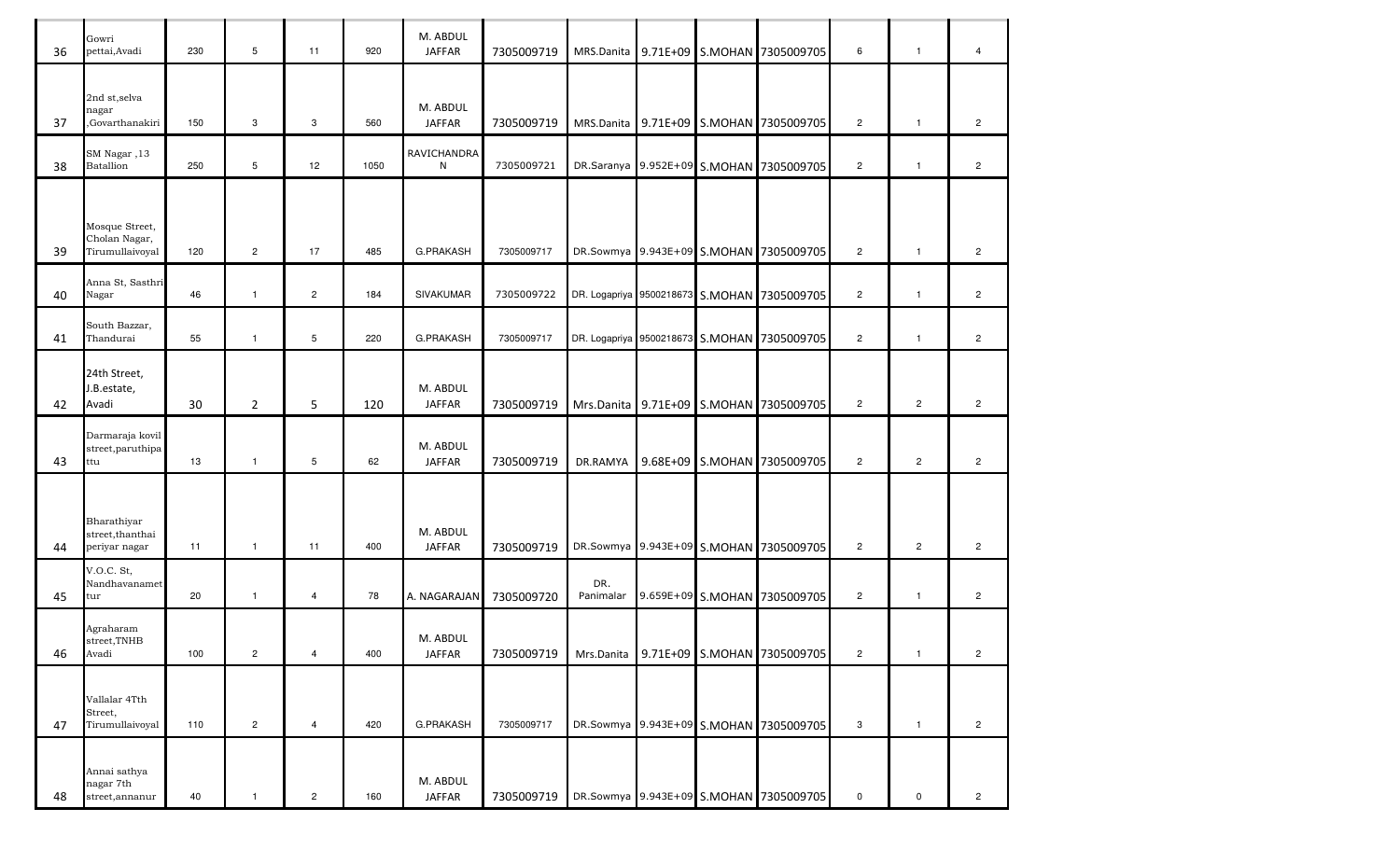| 36 | Gowri<br>pettai, Avadi                             | 230 | 5              | 11                   | 920  | M. ABDUL<br><b>JAFFAR</b> | 7305009719 | MRS.Danita       |  | 9.71E+09 S.MOHAN 7305009705                 | 6              | $\mathbf{1}$   | $\overline{4}$       |
|----|----------------------------------------------------|-----|----------------|----------------------|------|---------------------------|------------|------------------|--|---------------------------------------------|----------------|----------------|----------------------|
| 37 | 2nd st, selva<br>nagar<br>,Govarthanakiri          | 150 | 3              | 3                    | 560  | M. ABDUL<br><b>JAFFAR</b> | 7305009719 |                  |  | MRS.Danita 9.71E+09 S.MOHAN 7305009705      | $\overline{c}$ | $\mathbf{1}$   | $\overline{2}$       |
| 38 | SM Nagar, 13<br><b>Batallion</b>                   | 250 | 5              | 12                   | 1050 | RAVICHANDRA<br>${\sf N}$  | 7305009721 |                  |  | DR.Saranya 9.952E+09 S.MOHAN 7305009705     | $\overline{c}$ | $\mathbf{1}$   | $\overline{c}$       |
| 39 | Mosque Street,<br>Cholan Nagar,<br>Tirumullaivoyal | 120 | $\overline{2}$ | 17                   | 485  | G.PRAKASH                 | 7305009717 |                  |  | DR.Sowmya 9.943E+09 S.MOHAN 7305009705      | $\overline{c}$ | $\mathbf{1}$   | $\overline{c}$       |
| 40 | Anna St, Sasthri<br>Nagar                          | 46  | $\mathbf{1}$   | $\mathbf{2}^{\circ}$ | 184  | SIVAKUMAR                 | 7305009722 |                  |  | DR. Logapriya 9500218673 S.MOHAN 7305009705 | $\overline{c}$ | $\mathbf{1}$   | $\mathbf{2}^{\circ}$ |
| 41 | South Bazzar,<br>Thandurai                         | 55  | $\mathbf{1}$   | 5                    | 220  | <b>G.PRAKASH</b>          | 7305009717 |                  |  | DR. Logapriya 9500218673 S.MOHAN 7305009705 | $\overline{c}$ | $\mathbf{1}$   | $\overline{c}$       |
| 42 | 24th Street,<br>J.B.estate,<br>Avadi               | 30  | $\overline{2}$ | 5                    | 120  | M. ABDUL<br><b>JAFFAR</b> | 7305009719 |                  |  | Mrs.Danita 9.71E+09 S.MOHAN 7305009705      | $\overline{2}$ | $\overline{c}$ | $\overline{c}$       |
| 43 | Darmaraja kovil<br>street, paruthipa<br>ttu        | 13  | $\mathbf{1}$   | 5                    | 62   | M. ABDUL<br><b>JAFFAR</b> | 7305009719 | DR.RAMYA         |  | 9.68E+09 S.MOHAN 7305009705                 | $\overline{2}$ | $\overline{c}$ | $\overline{2}$       |
| 44 | Bharathiyar<br>street, than thai<br>periyar nagar  | 11  | $\mathbf{1}$   | 11                   | 400  | M. ABDUL<br><b>JAFFAR</b> | 7305009719 |                  |  | DR.Sowmya 9.943E+09 S.MOHAN 7305009705      | $\overline{c}$ | $\overline{c}$ | $\overline{c}$       |
| 45 | V.O.C. St,<br>Nandhavanamet<br>tur                 | 20  | $\mathbf{1}$   | $\overline{4}$       | 78   | A. NAGARAJAN              | 7305009720 | DR.<br>Panimalar |  | 9.659E+09 S.MOHAN 7305009705                | $\overline{c}$ | $\mathbf{1}$   | $\overline{c}$       |
| 46 | Agraharam<br>street,TNHB<br>Avadi                  | 100 | $\overline{2}$ | $\overline{4}$       | 400  | M. ABDUL<br><b>JAFFAR</b> | 7305009719 | Mrs.Danita       |  | 9.71E+09 S.MOHAN 7305009705                 | $\overline{c}$ | $\mathbf{1}$   | $\overline{c}$       |
| 47 | Vallalar 4Tth<br>Street,<br>Tirumullaivoyal        | 110 | $\overline{c}$ | 4                    | 420  | G.PRAKASH                 | 7305009717 |                  |  | DR.Sowmya 9.943E+09 S.MOHAN 7305009705      | 3              | $\mathbf{1}$   | $\overline{2}$       |
| 48 | Annai sathya<br>nagar 7th<br>street, annanur       | 40  | $\mathbf{1}$   | $\overline{c}$       | 160  | M. ABDUL<br>JAFFAR        | 7305009719 |                  |  | DR.Sowmya 9.943E+09 S.MOHAN 7305009705      | 0              | $\mathbf 0$    | $\overline{c}$       |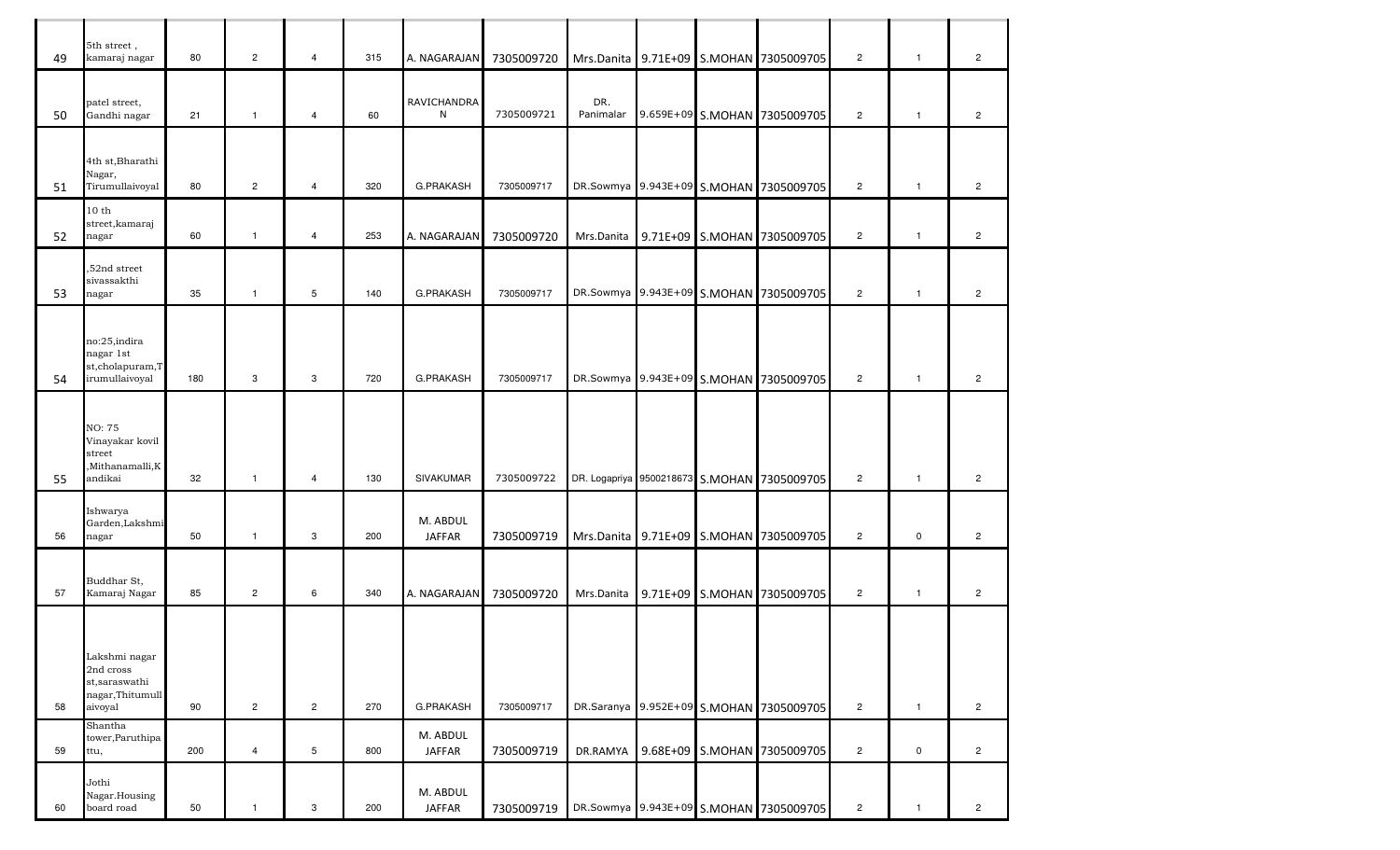| 49 | 5th street,<br>kamaraj nagar                                               | 80  | $\overline{2}$ | $\overline{4}$ | 315 | A. NAGARAJAN              | 7305009720 |                  |  | Mrs.Danita 9.71E+09 S.MOHAN 7305009705      | $\mathbf{2}$   | $\overline{1}$ | $\overline{c}$        |
|----|----------------------------------------------------------------------------|-----|----------------|----------------|-----|---------------------------|------------|------------------|--|---------------------------------------------|----------------|----------------|-----------------------|
| 50 | patel street,<br>Gandhi nagar                                              | 21  | $\mathbf{1}$   | $\overline{4}$ | 60  | RAVICHANDRA<br>N          | 7305009721 | DR.<br>Panimalar |  | 9.659E+09 S.MOHAN 7305009705                | $\overline{2}$ | $\mathbf{1}$   | $\overline{c}$        |
| 51 | 4th st, Bharathi<br>Nagar,<br>Tirumullaivoyal                              | 80  | $\overline{2}$ | $\overline{4}$ | 320 | <b>G.PRAKASH</b>          | 7305009717 |                  |  | DR.Sowmya 9.943E+09 S.MOHAN 7305009705      | $\mathbf{2}$   | $\mathbf{1}$   | $\overline{c}$        |
| 52 | 10 <sub>th</sub><br>street, kamaraj<br>nagar                               | 60  | $\mathbf{1}$   | $\overline{4}$ | 253 | A. NAGARAJAN              | 7305009720 |                  |  | Mrs.Danita 9.71E+09 S.MOHAN 7305009705      | $\overline{2}$ | $\mathbf{1}$   | $\mathbf{2}^{\prime}$ |
| 53 | ,52nd street<br>sivassakthi<br>nagar                                       | 35  | $\mathbf{1}$   | 5              | 140 | <b>G.PRAKASH</b>          | 7305009717 |                  |  | DR.Sowmya 9.943E+09 S.MOHAN 7305009705      | $\overline{c}$ | $\mathbf{1}$   | $\overline{c}$        |
| 54 | no:25,indira<br>nagar 1st<br>st,cholapuram,T<br>irumullaivoyal             | 180 | 3              | 3              | 720 | <b>G.PRAKASH</b>          | 7305009717 |                  |  | DR.Sowmya 9.943E+09 S.MOHAN 7305009705      | $\overline{2}$ | $\mathbf{1}$   | $\overline{c}$        |
| 55 | NO: 75<br>Vinayakar kovil<br>street<br>,Mithanamalli,K<br>andikai          | 32  | $\mathbf{1}$   | $\overline{4}$ | 130 | SIVAKUMAR                 | 7305009722 |                  |  | DR. Logapriya 9500218673 S.MOHAN 7305009705 | $\mathbf{2}$   | $\overline{1}$ | $\overline{c}$        |
| 56 | Ishwarya<br>Garden, Lakshmi<br>nagar                                       | 50  | $\mathbf{1}$   | 3              | 200 | M. ABDUL<br><b>JAFFAR</b> | 7305009719 |                  |  | Mrs.Danita 9.71E+09 S.MOHAN 7305009705      | $\overline{2}$ | 0              | $\mathbf{2}^{\prime}$ |
| 57 | Buddhar St,<br>Kamaraj Nagar                                               | 85  | $\overline{2}$ | 6              | 340 | A. NAGARAJAN              | 7305009720 |                  |  | Mrs.Danita 9.71E+09 S.MOHAN 7305009705      | $\overline{2}$ | $\mathbf{1}$   | $\overline{2}$        |
| 58 | Lakshmi nagar<br>2nd cross<br>st, saraswathi<br>nagar,Thitumull<br>aivoyal | 90  | $\overline{2}$ | $\overline{2}$ | 270 | G.PRAKASH                 | 7305009717 |                  |  | DR.Saranya 9.952E+09 S.MOHAN 7305009705     | $\overline{2}$ | $\overline{1}$ | $\overline{c}$        |
| 59 | Shantha<br>tower, Paruthipa<br>ttu,                                        | 200 | $\overline{4}$ | 5              | 800 | M. ABDUL<br><b>JAFFAR</b> | 7305009719 |                  |  | DR.RAMYA 9.68E+09 S.MOHAN 7305009705        | $\overline{2}$ | 0              | $\overline{c}$        |
| 60 | Jothi<br>Nagar.Housing<br>board road                                       | 50  | $\mathbf{1}$   | 3              | 200 | M. ABDUL<br><b>JAFFAR</b> | 7305009719 |                  |  | DR.Sowmya 9.943E+09 S.MOHAN 7305009705      | $\overline{c}$ | $\mathbf{1}$   | $\mathbf{2}$          |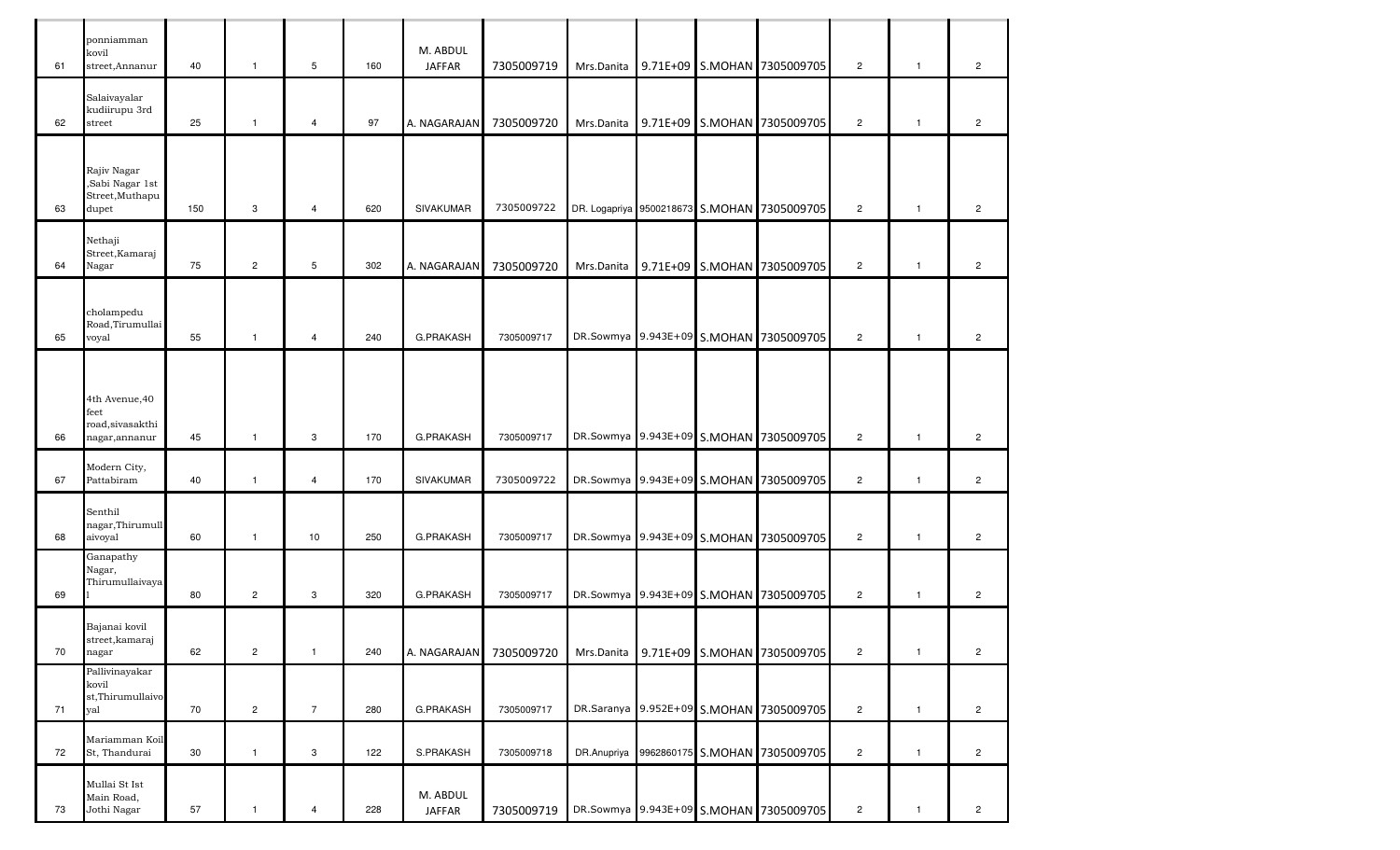| 61 | ponniamman<br>kovil<br>street, Annanur                       | 40     | $\overline{1}$ | $\mathbf 5$    | 160 | M. ABDUL<br><b>JAFFAR</b> | 7305009719 |            |  | Mrs.Danita 9.71E+09 S.MOHAN 7305009705      | $\overline{2}$ | $\overline{1}$ | $\overline{2}$ |
|----|--------------------------------------------------------------|--------|----------------|----------------|-----|---------------------------|------------|------------|--|---------------------------------------------|----------------|----------------|----------------|
| 62 | Salaivayalar<br>kudiirupu 3rd<br>street                      | 25     | $\mathbf{1}$   | $\overline{4}$ | 97  | A. NAGARAJAN              | 7305009720 |            |  | Mrs.Danita 9.71E+09 S.MOHAN 7305009705      | $\overline{2}$ | $\mathbf{1}$   | $\overline{2}$ |
|    |                                                              |        |                |                |     |                           |            |            |  |                                             |                |                |                |
| 63 | Rajiv Nagar<br>,Sabi Nagar 1st<br>Street, Muthapu<br>dupet   | 150    | 3              | $\overline{4}$ | 620 | <b>SIVAKUMAR</b>          | 7305009722 |            |  | DR. Logapriya 9500218673 S.MOHAN 7305009705 | $\overline{2}$ | $\mathbf{1}$   | $\overline{2}$ |
|    | Nethaji                                                      |        |                |                |     |                           |            |            |  |                                             |                |                |                |
| 64 | Street, Kamaraj<br>Nagar                                     | 75     | $\overline{2}$ | $\mathbf 5$    | 302 | A. NAGARAJAN              | 7305009720 |            |  | Mrs.Danita 9.71E+09 S.MOHAN 7305009705      | $\overline{2}$ | $\overline{1}$ | $\overline{c}$ |
|    | cholampedu<br>Road,Tirumullai                                |        |                |                |     |                           | 7305009717 |            |  |                                             |                |                |                |
| 65 | voyal                                                        | 55     | $\mathbf{1}$   | $\overline{4}$ | 240 | <b>G.PRAKASH</b>          |            |            |  | DR.Sowmya 9.943E+09 S.MOHAN 7305009705      | $\overline{2}$ | $\mathbf{1}$   | $\overline{c}$ |
| 66 | 4th Avenue, 40<br>feet<br>road, sivasakthi<br>nagar, annanur | 45     | $\mathbf{1}$   | 3              | 170 | <b>G.PRAKASH</b>          | 7305009717 |            |  | DR.Sowmya 9.943E+09 S.MOHAN 7305009705      | $\overline{2}$ | $\mathbf{1}$   | $\overline{2}$ |
| 67 | Modern City,<br>Pattabiram                                   | 40     | $\mathbf{1}$   | $\overline{4}$ | 170 | <b>SIVAKUMAR</b>          | 7305009722 |            |  | DR.Sowmya 9.943E+09 S.MOHAN 7305009705      | $\overline{2}$ | $\overline{1}$ | $\overline{c}$ |
| 68 | Senthil<br>nagar,Thirumull<br>aivoyal                        | 60     | $\mathbf{1}$   | 10             | 250 | <b>G.PRAKASH</b>          | 7305009717 |            |  | DR.Sowmya 9.943E+09 S.MOHAN 7305009705      | $\overline{2}$ | $\mathbf{1}$   | $\overline{c}$ |
| 69 | Ganapathy<br>Nagar,<br>Thirumullaivaya                       | 80     | $\overline{2}$ | 3              | 320 | G.PRAKASH                 | 7305009717 |            |  | DR.Sowmya 9.943E+09 S.MOHAN 7305009705      | $\overline{2}$ | $\mathbf{1}$   | $\overline{c}$ |
| 70 | Bajanai kovil<br>street, kamaraj<br>nagar                    | 62     | $\overline{2}$ | $\overline{1}$ | 240 | A. NAGARAJAN              | 7305009720 | Mrs.Danita |  | 9.71E+09 S.MOHAN 7305009705                 | $\overline{2}$ | $\mathbf{1}$   | $\overline{2}$ |
| 71 | Pallivinayakar<br>kovil<br>st,Thirumullaivo<br>yal           | $70\,$ | $\overline{a}$ | $\overline{7}$ | 280 | G.PRAKASH                 | 7305009717 |            |  | DR.Saranya 9.952E+09 S.MOHAN 7305009705     | $\overline{2}$ | $\mathbf{1}$   | $\overline{2}$ |
| 72 | Mariamman Koil<br>St, Thandurai                              | 30     | $\mathbf{1}$   | 3              | 122 | S.PRAKASH                 | 7305009718 |            |  | DR.Anupriya 9962860175 S.MOHAN 7305009705   | $\overline{2}$ | $\mathbf{1}$   | $\overline{2}$ |
| 73 | Mullai St Ist<br>Main Road,<br>Jothi Nagar                   | 57     | $\mathbf{1}$   | 4              | 228 | M. ABDUL<br><b>JAFFAR</b> | 7305009719 |            |  | DR.Sowmya 9.943E+09 S.MOHAN 7305009705      | $\overline{2}$ | $\mathbf{1}$   | $\overline{a}$ |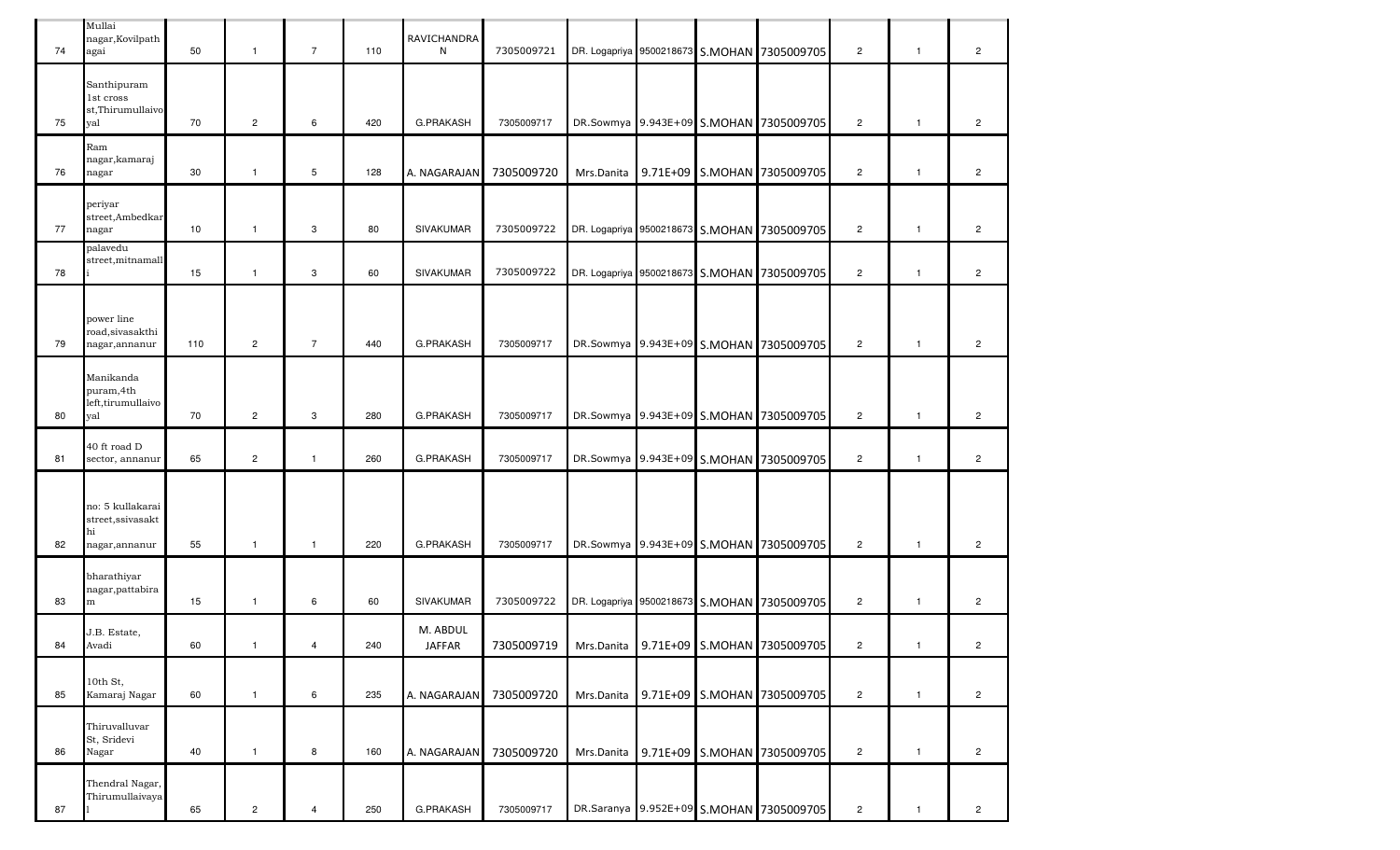| 74 | Mullai<br>nagar, Kovilpath<br>agai                            | 50  | $\mathbf{1}$   | $\overline{7}$ | 110 | RAVICHANDRA<br>N          | 7305009721 |            |  | DR. Logapriya 9500218673 S.MOHAN 7305009705 | $\overline{2}$ | $\mathbf{1}$ | $\mathbf{2}^{\prime}$ |
|----|---------------------------------------------------------------|-----|----------------|----------------|-----|---------------------------|------------|------------|--|---------------------------------------------|----------------|--------------|-----------------------|
| 75 | Santhipuram<br>1st cross<br>st,Thirumullaivo<br>val           | 70  | $\overline{2}$ | 6              | 420 | <b>G.PRAKASH</b>          | 7305009717 |            |  | DR.Sowmya 9.943E+09 S.MOHAN 7305009705      | $\overline{2}$ | $\mathbf{1}$ | $\overline{c}$        |
| 76 | Ram<br>nagar, kamaraj<br>nagar                                | 30  | $\mathbf{1}$   | 5              | 128 | A. NAGARAJAN              | 7305009720 |            |  | Mrs.Danita 9.71E+09 S.MOHAN 7305009705      | $\overline{2}$ | $\mathbf{1}$ | $\overline{2}$        |
| 77 | periyar<br>street,Ambedkar<br>nagar                           | 10  | $\mathbf{1}$   | 3              | 80  | SIVAKUMAR                 | 7305009722 |            |  | DR. Logapriya 9500218673 S.MOHAN 7305009705 | $\overline{2}$ | $\mathbf{1}$ | $\overline{c}$        |
| 78 | palavedu<br>street,mitnamall                                  | 15  | $\mathbf{1}$   | 3              | 60  | <b>SIVAKUMAR</b>          | 7305009722 |            |  | DR. Logapriya 9500218673 S.MOHAN 7305009705 | $\overline{2}$ | $\mathbf{1}$ | $\overline{c}$        |
| 79 | power line<br>road, sivasakthi<br>nagar, annanur              | 110 | $\overline{2}$ | $\overline{7}$ | 440 | <b>G.PRAKASH</b>          | 7305009717 |            |  | DR.Sowmya 9.943E+09 S.MOHAN 7305009705      | $\overline{2}$ | $\mathbf{1}$ | $\overline{c}$        |
| 80 | Manikanda<br>puram, 4th<br>left, tirumullaivo<br>yal          | 70  | $\overline{2}$ | 3              | 280 | <b>G.PRAKASH</b>          | 7305009717 |            |  | DR.Sowmya 9.943E+09 S.MOHAN 7305009705      | $\overline{2}$ | $\mathbf{1}$ | $\overline{c}$        |
| 81 | 40 ft road D<br>sector, annanur                               | 65  | $\overline{2}$ | $\mathbf{1}$   | 260 | G.PRAKASH                 | 7305009717 |            |  | DR.Sowmya 9.943E+09 S.MOHAN 7305009705      | $\overline{2}$ | $\mathbf{1}$ | $\overline{c}$        |
| 82 | no: 5 kullakarai<br>street, ssivasakt<br>hi<br>nagar, annanur | 55  | $\mathbf{1}$   | $\mathbf{1}$   | 220 | <b>G.PRAKASH</b>          | 7305009717 |            |  | DR.Sowmya 9.943E+09 S.MOHAN 7305009705      | $\overline{2}$ | $\mathbf{1}$ | $\overline{2}$        |
| 83 | bharathiyar<br>nagar, pattabira<br>m                          | 15  | $\mathbf{1}$   | 6              | 60  | <b>SIVAKUMAR</b>          | 7305009722 |            |  | DR. Logapriya 9500218673 S.MOHAN 7305009705 | $\overline{2}$ | $\mathbf{1}$ | $\overline{2}$        |
| 84 | J.B. Estate,<br>Avadi                                         | 60  | $\mathbf{1}$   | $\overline{4}$ | 240 | M. ABDUL<br><b>JAFFAR</b> | 7305009719 | Mrs.Danita |  | 9.71E+09 S.MOHAN 7305009705                 | $\overline{c}$ | $\mathbf{1}$ | $\overline{c}$        |
| 85 | 10th St.<br>Kamaraj Nagar                                     | 60  | $\mathbf{1}$   | 6              | 235 | A. NAGARAJAN              | 7305009720 | Mrs.Danita |  | 9.71E+09 S.MOHAN 7305009705                 | $\overline{2}$ | $\mathbf{1}$ | $\overline{2}$        |
| 86 | Thiruvalluvar<br>St, Sridevi<br>Nagar                         | 40  | $\mathbf{1}$   | 8              | 160 | A. NAGARAJAN              | 7305009720 |            |  | Mrs.Danita 9.71E+09 S.MOHAN 7305009705      | $\overline{2}$ | $\mathbf{1}$ | $\overline{2}$        |
| 87 | Thendral Nagar,<br>Thirumullaivaya                            | 65  | $\overline{c}$ | $\overline{4}$ | 250 | G.PRAKASH                 | 7305009717 |            |  | DR.Saranya 9.952E+09 S.MOHAN 7305009705     | $\overline{c}$ | $\mathbf{1}$ | $\overline{c}$        |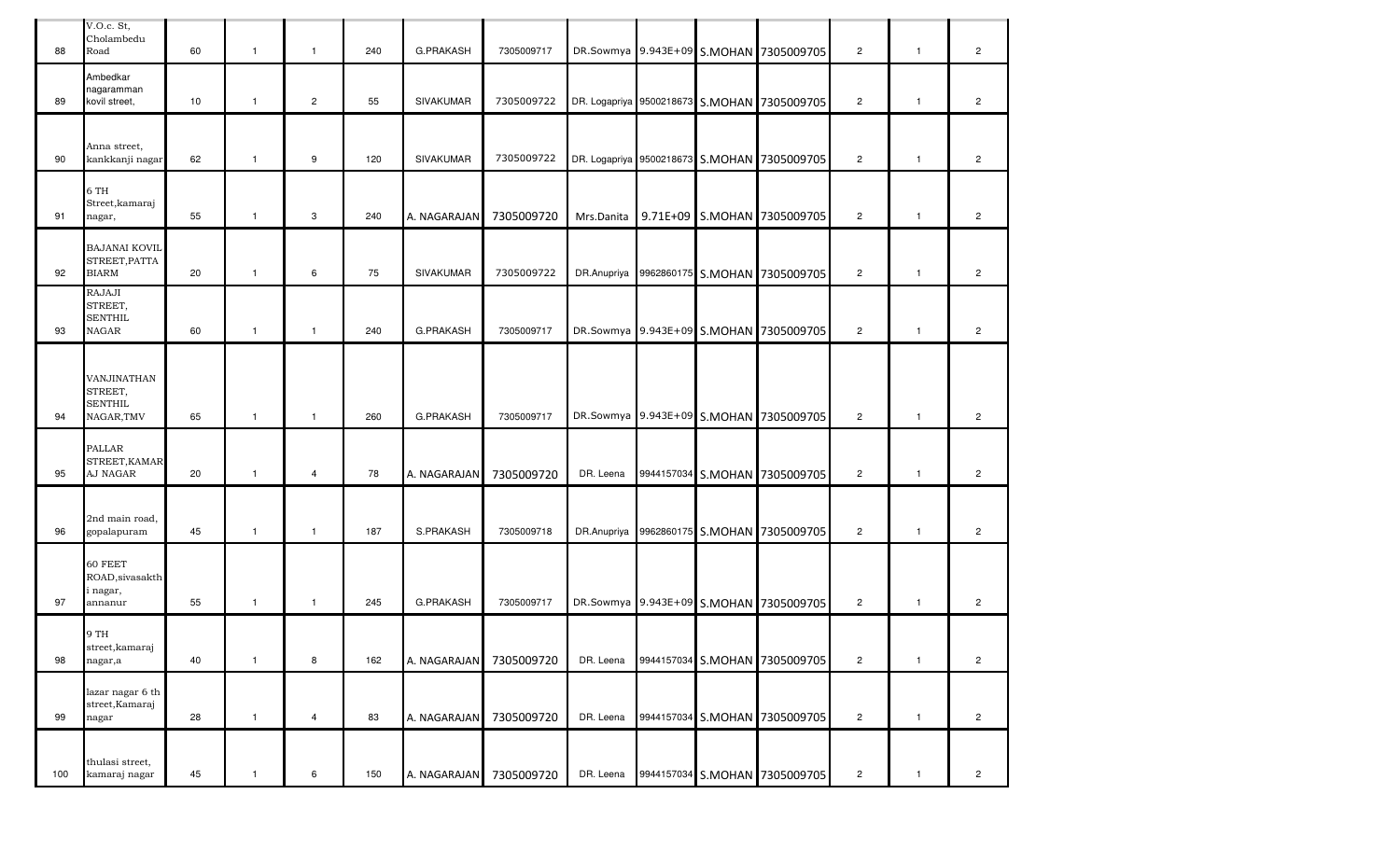| 88  | V.O.c. St,<br>Cholambedu<br>Road                              | 60 | $\mathbf{1}$ | $\mathbf{1}$   | 240 | G.PRAKASH        | 7305009717 |            |            | DR.Sowmya 9.943E+09 S.MOHAN 7305009705      | $\overline{2}$ | $\overline{1}$ | $\overline{c}$ |
|-----|---------------------------------------------------------------|----|--------------|----------------|-----|------------------|------------|------------|------------|---------------------------------------------|----------------|----------------|----------------|
| 89  | Ambedkar<br>nagaramman<br>kovil street,                       | 10 | $\mathbf{1}$ | $\overline{2}$ | 55  | <b>SIVAKUMAR</b> | 7305009722 |            |            | DR. Logapriya 9500218673 S.MOHAN 7305009705 | $\overline{2}$ | $\overline{1}$ | $\overline{2}$ |
| 90  | Anna street,<br>kankkanji nagar                               | 62 | $\mathbf{1}$ | 9              | 120 | <b>SIVAKUMAR</b> | 7305009722 |            |            | DR. Logapriya 9500218673 S.MOHAN 7305009705 | $\overline{2}$ | $\mathbf{1}$   | $\overline{c}$ |
| 91  | 6 TH<br>Street, kamaraj<br>nagar,                             | 55 | $\mathbf{1}$ | 3              | 240 | A. NAGARAJAN     | 7305009720 | Mrs.Danita |            | 9.71E+09 S.MOHAN 7305009705                 | $\overline{2}$ | $\overline{1}$ | $\overline{2}$ |
| 92  | <b>BAJANAI KOVIL</b><br>STREET, PATTA<br><b>BIARM</b>         | 20 | $\mathbf{1}$ | 6              | 75  | SIVAKUMAR        | 7305009722 |            |            | DR.Anupriya 9962860175 S.MOHAN 7305009705   | $\overline{2}$ | $\mathbf{1}$   | $\overline{c}$ |
| 93  | RAJAJI<br>STREET,<br><b>SENTHIL</b><br><b>NAGAR</b>           | 60 | $\mathbf{1}$ | $\mathbf{1}$   | 240 | <b>G.PRAKASH</b> | 7305009717 |            |            | DR.Sowmya 9.943E+09 S.MOHAN 7305009705      | $\overline{2}$ | $\mathbf{1}$   | $\overline{c}$ |
| 94  | <b>VANJINATHAN</b><br>STREET,<br><b>SENTHIL</b><br>NAGAR, TMV | 65 | $\mathbf{1}$ | $\overline{1}$ | 260 | G.PRAKASH        | 7305009717 |            |            | DR.Sowmya 9.943E+09 S.MOHAN 7305009705      | $\overline{2}$ | $\overline{1}$ | $\overline{c}$ |
| 95  | <b>PALLAR</b><br>STREET, KAMAR<br>AJ NAGAR                    | 20 | $\mathbf{1}$ | $\overline{4}$ | 78  | A. NAGARAJAN     | 7305009720 | DR. Leena  |            | 9944157034 S.MOHAN 7305009705               | $\overline{2}$ | $\mathbf{1}$   | $\overline{c}$ |
| 96  | 2nd main road,<br>gopalapuram                                 | 45 | $\mathbf{1}$ | $\mathbf{1}$   | 187 | S.PRAKASH        | 7305009718 |            |            | DR.Anupriya 9962860175 S.MOHAN 7305009705   | $\overline{2}$ | $\mathbf{1}$   | $\overline{c}$ |
| 97  | 60 FEET<br>ROAD, sivasakth<br>i nagar,<br>annanur             | 55 | $\mathbf{1}$ | $\mathbf{1}$   | 245 | G.PRAKASH        | 7305009717 |            |            | DR.Sowmya 9.943E+09 S.MOHAN 7305009705      | $\overline{2}$ | $\mathbf{1}$   | $\overline{c}$ |
| 98  | 9 TH<br>street, kamaraj<br>nagar,a                            | 40 | $\mathbf{1}$ | 8              | 162 | A. NAGARAJAN     | 7305009720 | DR. Leena  | 9944157034 | S.MOHAN 7305009705                          | $\overline{c}$ | $\mathbf{1}$   | $\overline{c}$ |
| 99  | lazar nagar 6 th<br>street, Kamaraj<br>nagar                  | 28 | $\mathbf{1}$ | 4              | 83  | A. NAGARAJAN     | 7305009720 | DR. Leena  | 9944157034 | S.MOHAN 7305009705                          | $\overline{c}$ | $\mathbf{1}$   | $\overline{c}$ |
| 100 | thulasi street,<br>kamaraj nagar                              | 45 | $\mathbf{1}$ | 6              | 150 | A. NAGARAJAN     | 7305009720 | DR. Leena  |            | 9944157034 S.MOHAN 7305009705               | $\overline{c}$ | $\mathbf{1}$   | $\overline{c}$ |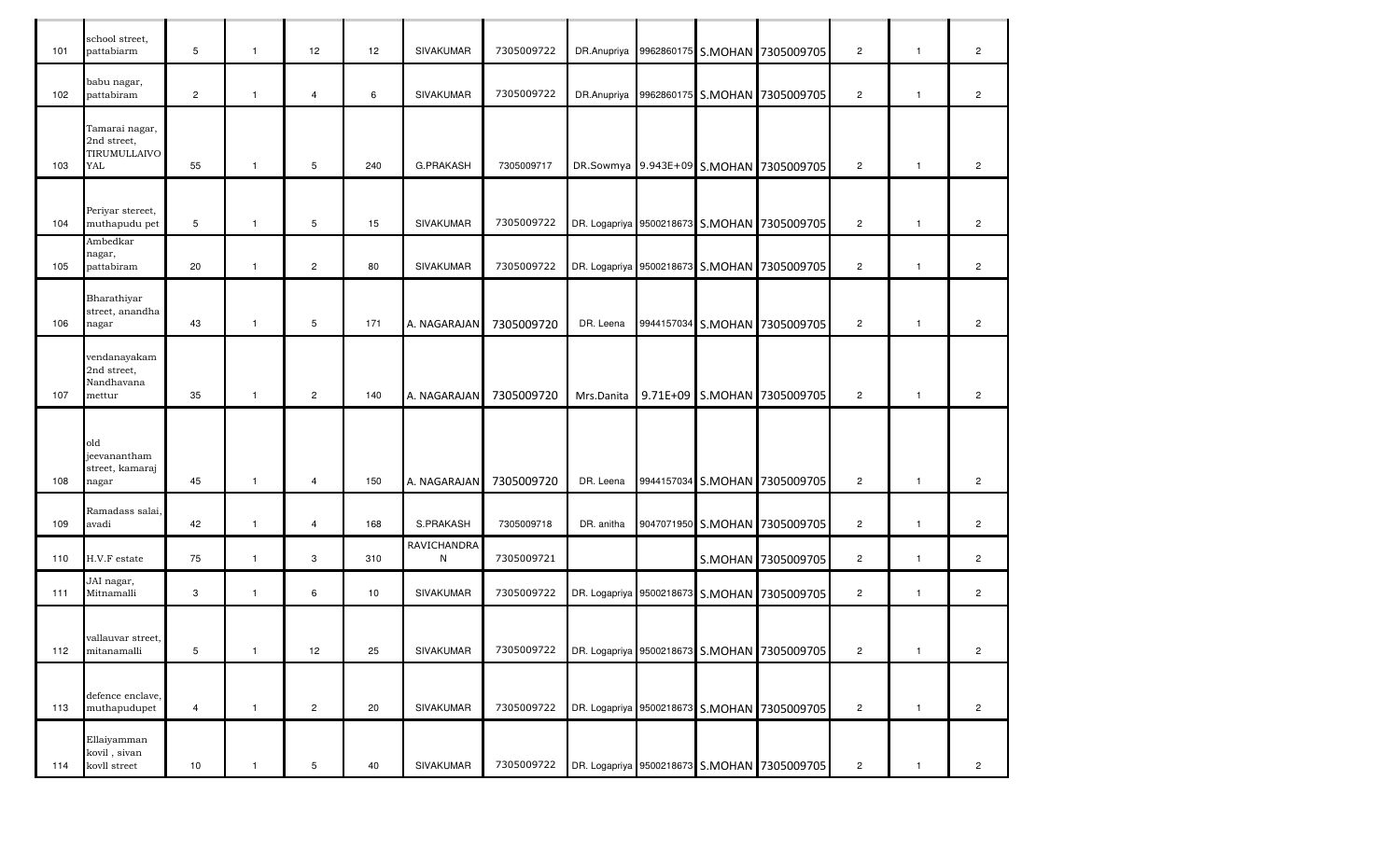| 101 | school street,<br>pattabiarm                         | 5              | $\mathbf{1}$   | 12             | 12 <sup>°</sup> | <b>SIVAKUMAR</b> | 7305009722 |            |  | DR.Anupriya 9962860175 S.MOHAN 7305009705   | $\overline{c}$ | $\mathbf{1}$ | $\overline{2}$ |
|-----|------------------------------------------------------|----------------|----------------|----------------|-----------------|------------------|------------|------------|--|---------------------------------------------|----------------|--------------|----------------|
| 102 | babu nagar,<br>pattabiram                            | $\overline{c}$ | $\mathbf{1}$   | $\overline{4}$ | 6               | SIVAKUMAR        | 7305009722 |            |  | DR.Anupriya 9962860175 S.MOHAN 7305009705   | $\overline{c}$ | $\mathbf{1}$ | $\overline{c}$ |
| 103 | Tamarai nagar,<br>2nd street,<br>TIRUMULLAIVO<br>YAL | 55             | $\mathbf{1}$   | 5              | 240             | <b>G.PRAKASH</b> | 7305009717 |            |  | DR.Sowmya 9.943E+09 S.MOHAN 7305009705      | $\overline{c}$ | $\mathbf{1}$ | $\overline{2}$ |
| 104 | Periyar stereet,<br>muthapudu pet                    | 5              | $\mathbf{1}$   | 5              | 15              | <b>SIVAKUMAR</b> | 7305009722 |            |  | DR. Logapriya 9500218673 S.MOHAN 7305009705 | $\overline{c}$ | $\mathbf{1}$ | $\overline{c}$ |
| 105 | Ambedkar<br>nagar,<br>pattabiram                     | 20             | $\mathbf{1}$   | $\overline{c}$ | 80              | <b>SIVAKUMAR</b> | 7305009722 |            |  | DR. Logapriya 9500218673 S.MOHAN 7305009705 | $\overline{c}$ | $\mathbf{1}$ | $\overline{2}$ |
| 106 | Bharathiyar<br>street, anandha<br>nagar              | 43             | $\mathbf{1}$   | 5              | 171             | A. NAGARAJAN     | 7305009720 | DR. Leena  |  | 9944157034 S.MOHAN 7305009705               | $\overline{c}$ | $\mathbf{1}$ | $\overline{2}$ |
| 107 | vendanayakam<br>2nd street,<br>Nandhavana<br>mettur  | 35             | $\mathbf{1}$   | $\overline{c}$ | 140             | A. NAGARAJAN     | 7305009720 | Mrs.Danita |  | 9.71E+09 S.MOHAN 7305009705                 | $\overline{c}$ | $\mathbf{1}$ | $\overline{2}$ |
| 108 | old<br>jeevanantham<br>street, kamaraj<br>nagar      | 45             | $\mathbf{1}$   | $\overline{4}$ | 150             | A. NAGARAJAN     | 7305009720 | DR. Leena  |  | 9944157034 S.MOHAN 7305009705               | $\overline{c}$ | $\mathbf{1}$ | $\overline{c}$ |
| 109 | Ramadass salai,<br>avadi                             | 42             | $\mathbf{1}$   | $\overline{4}$ | 168             | S.PRAKASH        | 7305009718 | DR. anitha |  | 9047071950 S.MOHAN 7305009705               | $\overline{c}$ | $\mathbf{1}$ | $\overline{2}$ |
| 110 | H.V.F estate                                         | 75             | $\mathbf{1}$   | 3              | 310             | RAVICHANDRA<br>N | 7305009721 |            |  | S.MOHAN 7305009705                          | $\overline{c}$ | $\mathbf{1}$ | $\overline{2}$ |
| 111 | JAI nagar,<br>Mitnamalli                             | 3              | $\mathbf{1}$   | 6              | 10              | <b>SIVAKUMAR</b> | 7305009722 |            |  | DR. Logapriya 9500218673 S.MOHAN 7305009705 | $\overline{c}$ | $\mathbf{1}$ | $\overline{2}$ |
| 112 | vallauvar street,<br>mitanamalli                     | 5              | $\overline{1}$ | 12             | 25              | SIVAKUMAR        | 7305009722 |            |  | DR. Logapriya 9500218673 S.MOHAN 7305009705 | $\overline{c}$ | $\mathbf{1}$ | $\overline{c}$ |
| 113 | defence enclave,<br>muthapudupet                     | $\overline{4}$ | $\mathbf{1}$   | $\overline{c}$ | 20              | SIVAKUMAR        | 7305009722 |            |  | DR. Logapriya 9500218673 S.MOHAN 7305009705 | $\overline{c}$ | $\mathbf{1}$ | $\overline{c}$ |
| 114 | Ellaiyamman<br>kovil, sivan<br>kovll street          | 10             | $\mathbf{1}$   | $\,$ 5 $\,$    | 40              | SIVAKUMAR        | 7305009722 |            |  | DR. Logapriya 9500218673 S.MOHAN 7305009705 | $\mathbf 2$    | $\mathbf{1}$ | $\overline{c}$ |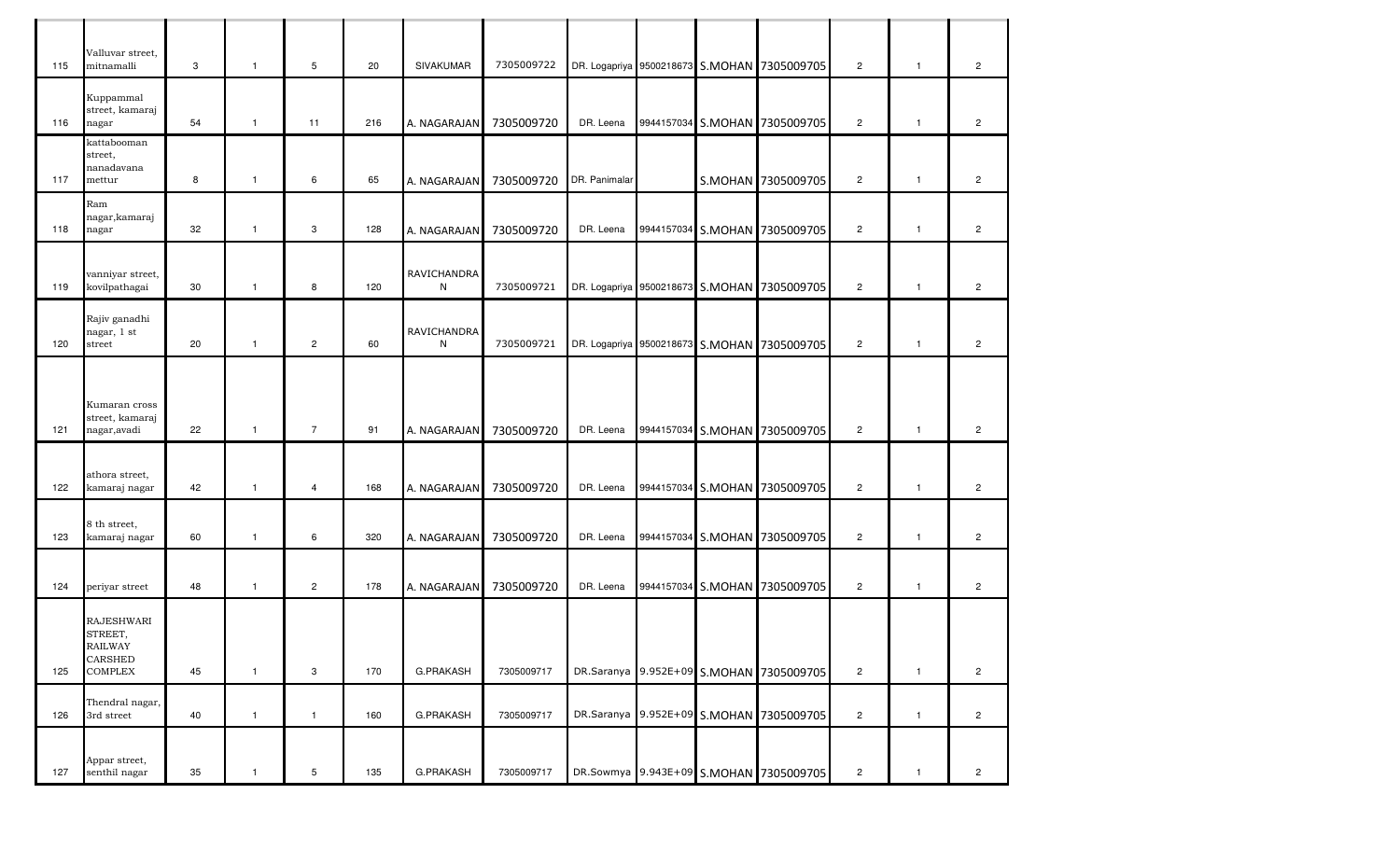| 115 | Valluvar street,<br>mitnamalli                                                     | 3  | $\mathbf{1}$ | 5              | 20  | <b>SIVAKUMAR</b> | 7305009722 |               |            | DR. Logapriya 9500218673 S.MOHAN 7305009705 | $\overline{2}$ | $\overline{1}$ | $\overline{2}$ |
|-----|------------------------------------------------------------------------------------|----|--------------|----------------|-----|------------------|------------|---------------|------------|---------------------------------------------|----------------|----------------|----------------|
| 116 | Kuppammal<br>street, kamaraj<br>nagar                                              | 54 | $\mathbf{1}$ | 11             | 216 | A. NAGARAJAN     | 7305009720 | DR. Leena     | 9944157034 | S.MOHAN 7305009705                          | $\overline{c}$ | $\mathbf{1}$   | $\overline{2}$ |
| 117 | kattabooman<br>street,<br>nanadavana<br>mettur                                     | 8  | $\mathbf{1}$ | 6              | 65  | A. NAGARAJAN     | 7305009720 | DR. Panimalar |            | S.MOHAN 7305009705                          | $\overline{2}$ | $\overline{1}$ | $\overline{2}$ |
| 118 | Ram<br>nagar, kamaraj<br>nagar                                                     | 32 | $\mathbf{1}$ | 3              | 128 | A. NAGARAJAN     | 7305009720 | DR. Leena     |            | 9944157034 S.MOHAN 7305009705               | $\overline{2}$ | $\overline{1}$ | $\overline{2}$ |
| 119 | vanniyar street,<br>kovilpathagai                                                  | 30 | $\mathbf{1}$ | 8              | 120 | RAVICHANDRA<br>N | 7305009721 |               |            | DR. Logapriya 9500218673 S.MOHAN 7305009705 | $\overline{c}$ | $\overline{1}$ | $\overline{c}$ |
| 120 | Rajiv ganadhi<br>nagar, 1 st<br>street                                             | 20 | $\mathbf{1}$ | $\overline{2}$ | 60  | RAVICHANDRA<br>N | 7305009721 |               |            | DR. Logapriya 9500218673 S.MOHAN 7305009705 | $\overline{2}$ | $\overline{1}$ | $\overline{c}$ |
| 121 | Kumaran cross<br>street, kamaraj<br>nagar, avadi                                   | 22 | $\mathbf{1}$ | $\overline{7}$ | 91  | A. NAGARAJAN     | 7305009720 | DR. Leena     | 9944157034 | S.MOHAN 7305009705                          | $\overline{2}$ | $\overline{1}$ | $\overline{2}$ |
| 122 | athora street,<br>kamaraj nagar                                                    | 42 | $\mathbf{1}$ | $\overline{4}$ | 168 | A. NAGARAJAN     | 7305009720 | DR. Leena     |            | 9944157034 S.MOHAN 7305009705               | $\overline{2}$ | $\mathbf{1}$   | $\overline{c}$ |
| 123 | 8 th street,<br>kamaraj nagar                                                      | 60 | $\mathbf{1}$ | 6              | 320 | A. NAGARAJAN     | 7305009720 | DR. Leena     |            | 9944157034 S.MOHAN 7305009705               | $\overline{c}$ | $\mathbf{1}$   | $\overline{c}$ |
| 124 | periyar street                                                                     | 48 | $\mathbf{1}$ | $\overline{c}$ | 178 | A. NAGARAJAN     | 7305009720 | DR. Leena     |            | 9944157034 S.MOHAN 7305009705               | $\overline{2}$ | $\mathbf{1}$   | $\overline{c}$ |
| 125 | <b>RAJESHWARI</b><br>STREET,<br><b>RAILWAY</b><br><b>CARSHED</b><br><b>COMPLEX</b> | 45 | $\mathbf{1}$ | 3              | 170 | G.PRAKASH        | 7305009717 |               |            | DR.Saranya 9.952E+09 S.MOHAN 7305009705     | $\overline{2}$ | $\mathbf{1}$   | $\overline{2}$ |
| 126 | Thendral nagar,<br>3rd street                                                      | 40 | $\mathbf{1}$ | $\mathbf{1}$   | 160 | G.PRAKASH        | 7305009717 |               |            | DR.Saranya 9.952E+09 S.MOHAN 7305009705     | $\overline{c}$ | $\mathbf{1}$   | $\overline{c}$ |
| 127 | Appar street,<br>senthil nagar                                                     | 35 |              | 5              | 135 | G.PRAKASH        | 7305009717 |               |            | DR.Sowmya 9.943E+09 S.MOHAN 7305009705      | $\overline{c}$ | $\mathbf{1}$   | $\overline{c}$ |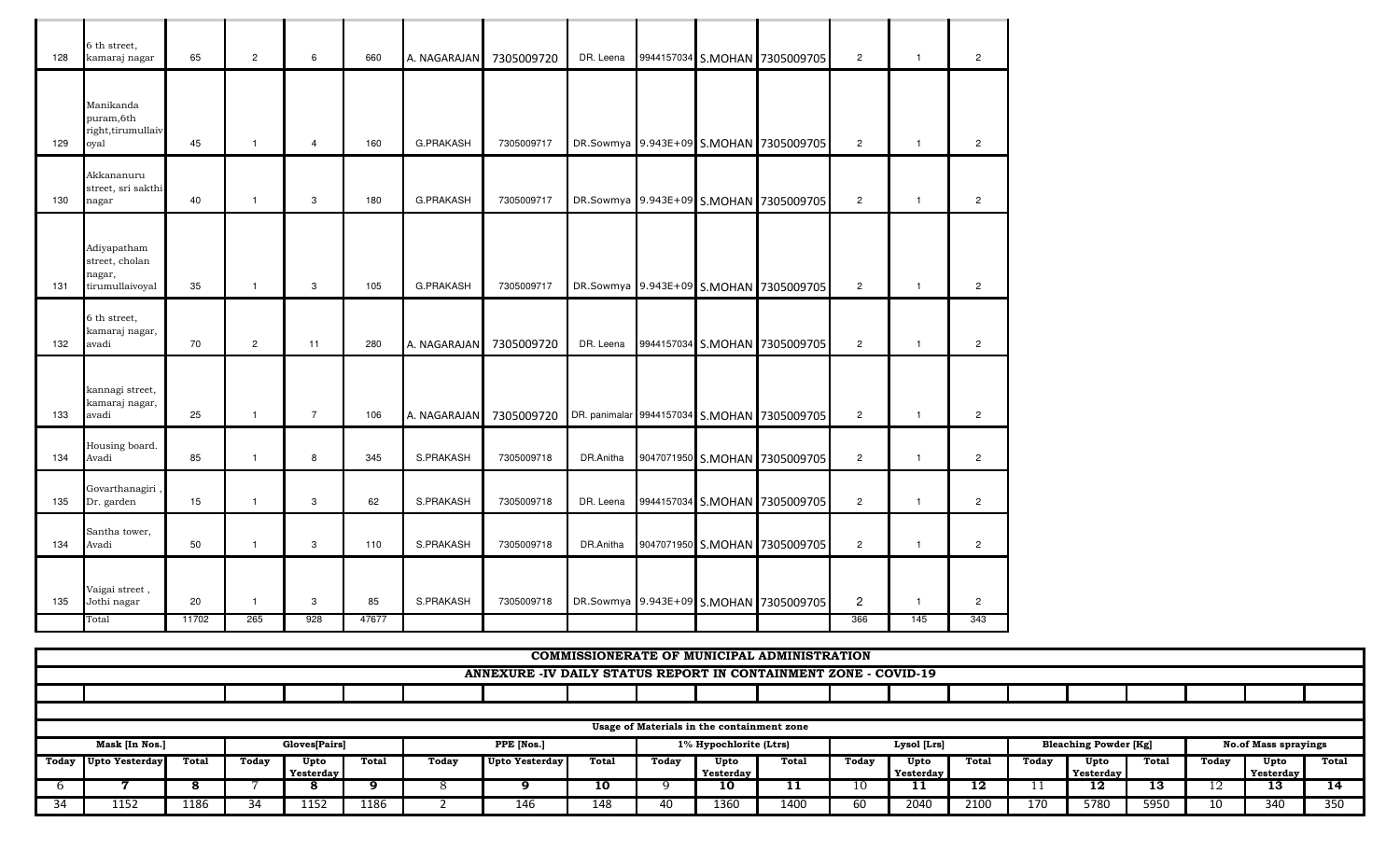| 128 | 6 th street,<br>kamaraj nagar                              | 65 | $\overline{2}$ | 6              | 660 | A. NAGARAJAN     | 7305009720 | DR. Leena |  | 9944157034 S.MOHAN 7305009705               | $\overline{2}$ | $\mathbf{1}$   | $\overline{2}$ |
|-----|------------------------------------------------------------|----|----------------|----------------|-----|------------------|------------|-----------|--|---------------------------------------------|----------------|----------------|----------------|
|     | Manikanda<br>puram,6th<br>right, tirumullaiv               |    |                |                |     |                  |            |           |  |                                             |                |                |                |
| 129 | oyal                                                       | 45 | $\mathbf{1}$   | $\overline{4}$ | 160 | <b>G.PRAKASH</b> | 7305009717 |           |  | DR.Sowmya 9.943E+09 S.MOHAN 7305009705      | $\overline{2}$ | $\mathbf{1}$   | $\overline{2}$ |
| 130 | Akkananuru<br>street, sri sakthi<br>nagar                  | 40 | $\mathbf{1}$   | 3              | 180 | <b>G.PRAKASH</b> | 7305009717 |           |  | DR.Sowmya 9.943E+09 S.MOHAN 7305009705      | $\overline{2}$ | $\mathbf{1}$   | $\overline{2}$ |
| 131 | Adiyapatham<br>street, cholan<br>nagar,<br>tirumullaivoyal | 35 | $\mathbf{1}$   | 3              | 105 | <b>G.PRAKASH</b> | 7305009717 |           |  | DR.Sowmya 9.943E+09 S.MOHAN 7305009705      | $\overline{2}$ | $\mathbf{1}$   | $\overline{2}$ |
| 132 | 6 th street,<br>kamaraj nagar,<br>avadi                    | 70 | $\overline{2}$ | 11             | 280 | A. NAGARAJAN     | 7305009720 | DR. Leena |  | 9944157034 S.MOHAN 7305009705               | $\overline{2}$ | $\overline{1}$ | $\overline{2}$ |
| 133 | kannagi street,<br>kamaraj nagar,<br>avadi                 | 25 | $\mathbf{1}$   | $\overline{7}$ | 106 | A. NAGARAJAN     | 7305009720 |           |  | DR. panimalar 9944157034 S.MOHAN 7305009705 | $\overline{2}$ | $\overline{1}$ | $\overline{2}$ |
| 134 | Housing board.<br>Avadi                                    | 85 | $\mathbf{1}$   | 8              | 345 | S.PRAKASH        | 7305009718 | DR.Anitha |  | 9047071950 S.MOHAN 7305009705               | $\overline{2}$ | $\mathbf{1}$   | $\overline{2}$ |
| 135 | Govarthanagiri<br>Dr. garden                               | 15 | $\mathbf{1}$   | 3              | 62  | S.PRAKASH        | 7305009718 | DR. Leena |  | 9944157034 S.MOHAN 7305009705               | $\overline{2}$ | $\mathbf{1}$   | $\overline{2}$ |
|     |                                                            |    |                |                |     |                  |            | DR.Anitha |  | 9047071950 S.MOHAN 7305009705               | $\overline{2}$ |                |                |
| 134 | Santha tower,<br>Avadi                                     | 50 | $\mathbf{1}$   | 3              | 110 | S.PRAKASH        | 7305009718 |           |  |                                             |                | $\mathbf{1}$   | $\overline{2}$ |
| 135 | Vaigai street,<br>Jothi nagar                              | 20 | $\mathbf{1}$   | 3              | 85  | S.PRAKASH        | 7305009718 |           |  | DR.Sowmya 9.943E+09 S.MOHAN 7305009705      | $\overline{c}$ | $\overline{1}$ | $\overline{c}$ |

|     |                                            |       |       |               |       |       |                                                                 |       |       |                        | <b>COMMISSIONERATE OF MUNICIPAL ADMINISTRATION</b> |       |             |              |       |                              |       |       |                             |       |
|-----|--------------------------------------------|-------|-------|---------------|-------|-------|-----------------------------------------------------------------|-------|-------|------------------------|----------------------------------------------------|-------|-------------|--------------|-------|------------------------------|-------|-------|-----------------------------|-------|
|     |                                            |       |       |               |       |       | ANNEXURE -IV DAILY STATUS REPORT IN CONTAINMENT ZONE - COVID-19 |       |       |                        |                                                    |       |             |              |       |                              |       |       |                             |       |
|     |                                            |       |       |               |       |       |                                                                 |       |       |                        |                                                    |       |             |              |       |                              |       |       |                             |       |
|     |                                            |       |       |               |       |       |                                                                 |       |       |                        |                                                    |       |             |              |       |                              |       |       |                             |       |
|     | Usage of Materials in the containment zone |       |       |               |       |       |                                                                 |       |       |                        |                                                    |       |             |              |       |                              |       |       |                             |       |
|     | Mask [In Nos.]                             |       |       | Gloves[Pairs] |       |       | PPE [Nos.]                                                      |       |       | 1% Hypochlorite (Ltrs) |                                                    |       | Lysol [Lrs] |              |       | <b>Bleaching Powder [Kg]</b> |       |       | <b>No.of Mass sprayings</b> |       |
|     | Today Upto Yesterday                       | Total | Today | Upto          | Total | Today | <b>Upto Yesterday</b>                                           | Total | Today | Upto                   | Total                                              | Today | Upto        | <b>Total</b> | Today | Upto                         | Total | Today | Upto                        | Total |
|     |                                            |       |       | Yesterday     |       |       |                                                                 |       |       | ■ Yesterday ▶          |                                                    |       | Yesterday   |              |       | <b>Yesterday</b>             |       |       | <b>Yesterday</b>            |       |
|     |                                            |       |       |               |       |       |                                                                 | 10    |       | 10                     | . .                                                | 10    |             | 12           |       | 12                           | 13    |       | 13                          | 14    |
| -34 | 1152                                       | 1186  | 34    | 1152          | 1186  |       | 146                                                             | 148   |       | 1360                   | 1400                                               | ы     | 2040        | 2100         | 170   | 5780                         | 5950  | ΊŪ    | 340                         | 350   |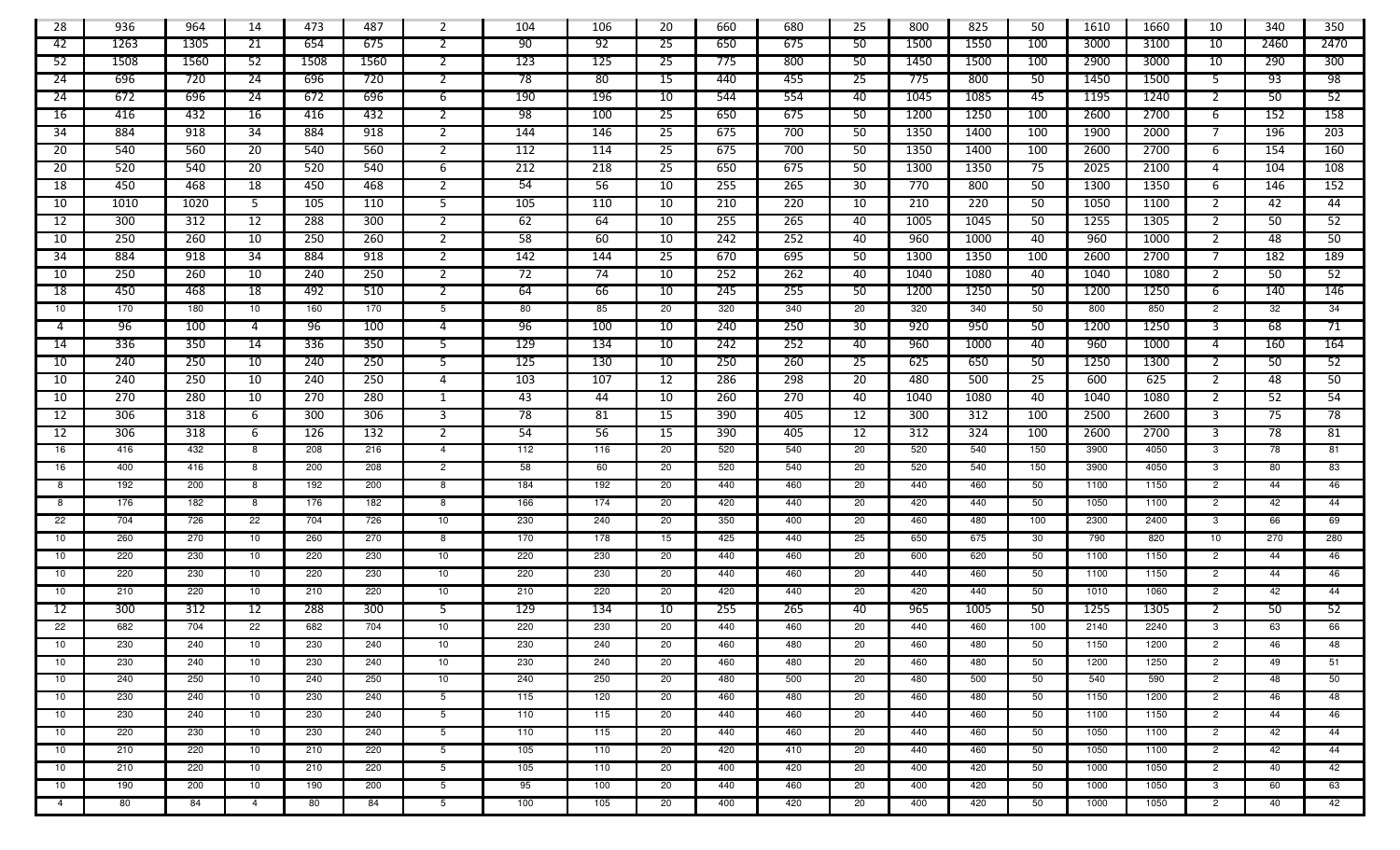| 28              | 936        | 964        | 14                    | 473        | 487  | 2               | 104             | 106        | 20              | 660        | 680 | 25              | 800  | 825  | 50              | 1610         | 1660 | 10             | 340  | 350             |
|-----------------|------------|------------|-----------------------|------------|------|-----------------|-----------------|------------|-----------------|------------|-----|-----------------|------|------|-----------------|--------------|------|----------------|------|-----------------|
| 42              | 1263       | 1305       | 21                    | 654        | 675  | 2               | 90              | 92         | 25              | 650        | 675 | 50              | 1500 | 1550 | 100             | 3000         | 3100 | 10             | 2460 | 2470            |
| 52              | 1508       | 1560       | 52                    | 1508       | 1560 | 2               | 123             | 125        | -25             | 775        | 800 | 50              | 1450 | 1500 | 100             | 2900         | 3000 | 10             | 290  | 300             |
| 24              | 696        | 720        | $\overline{24}$       | 696        | 720  | $\mathbf{2}$    | 78              | 80         | 15              | 440        | 455 | $\overline{25}$ | 775  | 800  | 50              | 1450         | 1500 | -5             | 93   | $\overline{98}$ |
| 24              | 672        | 696        | 24                    | 672        | 696  | 6               | 190             | 196        | 10              | 544        | 554 | 40              | 1045 | 1085 | 45              | 1195         | 1240 | 2              | 50   | 52              |
| 16              | 416        | 432        | 16                    | 416        | 432  | 2               | $\overline{98}$ | 100        | -25             | 650        | 675 | 50              | 1200 | 1250 | 100             | 2600         | 2700 | -6             | 152  | 158             |
| 34              | 884        | 918        | 34                    | 884        | 918  | 2               | 144             | 146        | 25              | 675        | 700 | 50              | 1350 | 1400 | 100             | 1900         | 2000 |                | 196  | 203             |
| 20              | 540        | 560        | $\overline{20}$       | 540        | 560  | $\mathbf{2}$    | 112             | 114        | 25              | 675        | 700 | 50              | 1350 | 1400 | 100             | 2600         | 2700 | -6             | 154  | 160             |
| 20              | 520        | 540        | 20                    | 520        | 540  | 6               | 212             | 218        | 25              | 650        | 675 | 50              | 1300 | 1350 | 75              | 2025         | 2100 | 4              | 104  | 108             |
| 18              | 450        | 468        | 18                    | 450        | 468  | $\mathbf{2}$    | 54              | 56         | 10              | 255        | 265 | 30              | 770  | 800  | 50              | 1300         | 1350 | -6             | 146  | 152             |
| 10              | 1010       | 1020       | 5                     | 105        | 110  | 5               | 105             | 110        | 10              | 210        | 220 | 10              | 210  | 220  | 50              | 1050         | 1100 | 2              | 42   | 44              |
| 12              | 300        | 312        | $\overline{12}$       | 288        | 300  | $\mathbf{2}$    | 62              | 64         | 10              | 255        | 265 | 40              | 1005 | 1045 | 50              | 1255         | 1305 | 2              | 50   | 52              |
| 10              | 250        | 260        | 10                    | 250        | 260  | 2               | $\overline{58}$ | 60         | 10              | 242        | 252 | 40              | 960  | 1000 | 40              | 960          | 1000 | 2              | 48   | 50              |
| 34              | 884        | 918        | 34                    | 884        | 918  | 2               | 142             | 144        | -25             | 670        | 695 | 50              | 1300 | 1350 | 100             | 2600         | 2700 | 7              | 182  | 189             |
| 10              | 250        | 260        | 10                    | 240        | 250  | $\overline{2}$  | 72              | 74         | 10              | 252        | 262 | 40              | 1040 | 1080 | 40              | 1040         | 1080 | 2              | 50   | 52              |
| 18              | 450        | 468        | $\overline{18}$       | 492        | 510  | 2               | 64              | 66         | 10              | 245        | 255 | 50              | 1200 | 1250 | 50              | 1200         | 1250 | -6             | 140  | 146             |
| 10              | 170        | 180        | 10                    | 160        | 170  | $5\overline{)}$ | 80              | 85         | 20              | 320        | 340 | 20              | 320  | 340  | 50              | 800          | 850  | $\overline{2}$ | 32   | 34              |
| 4               | 96         | 100        | 4                     | 96         | 100  | 4               | 96              | 100        | 10              | 240        | 250 | 30              | 920  | 950  | 50              | 1200         | 1250 | 3              | 68   | 71              |
| 14              | 336        | 350        | 14                    | 336        | 350  | 5               | 129             | 134        | 10              | 242        | 252 | 40              | 960  | 1000 | 40              | 960          | 1000 | 4              | 160  | 164             |
| 10              | 240        | 250        | 10                    | 240        | 250  | 5               | 125             | 130        | 10              | 250        | 260 | $\overline{25}$ | 625  | 650  | 50              | 1250         | 1300 | 2              | 50   | 52              |
| 10              | 240        | 250        | 10                    | 240        | 250  | $\overline{4}$  | 103             | 107        | $\overline{12}$ | 286        | 298 | 20              | 480  | 500  | $\overline{25}$ | 600          | 625  | 2              | 48   | 50              |
| 10              | 270        | 280        | 10                    | 270        | 280  | 1               | 43              | 44         | 10              | 260        | 270 | 40              | 1040 | 1080 | 40              | 1040         | 1080 | 2              | 52   | 54              |
| 12              | 306        | 318        | 6                     | 300        | 306  | 3               | $\overline{78}$ | 81         | 15              | 390        | 405 | 12              | 300  | 312  | 100             | 2500         | 2600 | 3              | 75   | 78              |
| 12              | 306        | 318        | 6                     | 126        | 132  | $\overline{2}$  | 54              | 56         | 15              | 390        | 405 | 12              | 312  | 324  | 100             | 2600         | 2700 | 3              | 78   | 81              |
| 16              | 416        | 432        | 8                     | 208        | 216  | $\overline{4}$  | 112             | 116        | 20              | 520        | 540 | 20              | 520  | 540  | 150             | 3900         | 4050 | $\mathbf{3}$   | 78   | 81              |
| 16              | 400        | 416        | 8                     | 200        | 208  | $\overline{2}$  | 58              | 60         | 20              | 520        | 540 | 20              | 520  | 540  | 150             | 3900         | 4050 | $\mathbf{3}$   | 80   | 83              |
| 8               | 192        | 200        | 8                     | 192        | 200  | 8               | 184             | 192        | 20              | 440        | 460 | 20              | 440  | 460  | 50              | 1100         | 1150 | $\overline{2}$ | 44   | 46              |
| 8               | 176        | 182        | 8                     | 176        | 182  | 8               | 166             | 174        | 20              | 420        | 440 | 20              | 420  | 440  | 50              | 1050         | 1100 | $\overline{2}$ | 42   | 44              |
| $\overline{22}$ | 704        | 726        | 22                    | 704        | 726  | 10              | 230             | 240        | 20              | 350        | 400 | 20              | 460  | 480  | 100             | 2300         | 2400 | $\mathbf{3}$   | 66   | 69              |
| 10              | 260        | 270        | 10                    | 260        | 270  | 8               | 170             | 178        | 15              | 425        | 440 | 25              | 650  | 675  | 30              | 790          | 820  | 10             | 270  | 280             |
| 10              | 220        | 230        | 10                    | 220        | 230  | 10 <sub>1</sub> | 220             | 230        | 20              | 440        | 460 | 20              | 600  | 620  | 50              | 1100         | 1150 | $\overline{2}$ | 44   | 46              |
| 10              | 220        | 230        | 10                    | 220        | 230  | 10 <sup>1</sup> | 220             | 230        | 20              | 440        | 460 | 20              | 440  | 460  | 50              | 1100         | 1150 | $\overline{2}$ | 44   | 46              |
| 10              | 210        | 220        | 10                    | 210        | 220  | 10 <sup>1</sup> | 210             | 220        | 20              | 420        | 440 | 20              | 420  | 440  | 50              | 1010         | 1060 | $\overline{2}$ | 42   | 44              |
| 12              | 300        | 312        | $\overline{12}$       | 288        | 300  | 5               | 129             | 134        | 10              | 255        | 265 | 40              | 965  | 1005 | 50              | 1255         | 1305 | 2              | 50   | 52              |
| 22              | 682        | 704        | 22                    | 682        | 704  | 10              | 220             | 230        | 20              | 440        | 460 | 20              | 440  | 460  | 100             | 2140         | 2240 | 3              | 63   | 66              |
| 10              | 230        | 240        | 10                    | 230        | 240  | 10              | 230             | 240        | 20              | 460        | 480 | 20              | 460  | 480  | 50              | 1150         | 1200 | $\overline{2}$ | 46   | 48              |
| 10              | 230        | 240        | 10                    | 230        | 240  | 10 <sup>1</sup> | 230             | 240        | 20              | 460        | 480 | 20              | 460  | 480  | 50              | 1200         | 1250 | $\overline{2}$ | 49   | 51              |
| 10              | 240        | 250        | 10                    | 240        | 250  | 10 <sub>1</sub> | 240             | 250        | 20              | 480        | 500 | 20              | 480  | 500  | 50              | 540          | 590  | $\overline{2}$ | 48   | 50              |
| 10              | 230        | 240        | 10                    | 230        | 240  | 5               | 115             | 120        | 20              | 460        | 480 | 20              | 460  | 480  | 50              | 1150         | 1200 | $\overline{2}$ | 46   | 48              |
| 10              | 230<br>220 | 240<br>230 | 10<br>10 <sup>1</sup> | 230<br>230 | 240  | $5^{\circ}$     | 110             | 115<br>115 | 20              | 440<br>440 | 460 | 20<br>20        | 440  | 460  | 50              | 1100<br>1050 | 1150 | $\overline{2}$ | 44   | 46<br>44        |
| 10              |            |            |                       |            | 240  | $5^{\circ}$     | 110             |            | 20              |            | 460 |                 | 440  | 460  | 50              |              | 1100 | $\overline{c}$ | 42   |                 |
| 10              | 210        | 220        | 10 <sup>1</sup>       | 210        | 220  | $5^{\circ}$     | 105             | 110        | 20              | 420        | 410 | 20              | 440  | 460  | 50              | 1050         | 1100 | $\overline{2}$ | 42   | 44              |
| 10              | 210        | 220        | 10                    | 210        | 220  | $5^{\circ}$     | 105             | 110        | 20              | 400        | 420 | 20              | 400  | 420  | 50              | 1000         | 1050 | $\overline{2}$ | 40   | 42              |
| 10              | 190        | 200        | 10                    | 190        | 200  | $5^{\circ}$     | 95              | 100        | 20              | 440        | 460 | 20              | 400  | 420  | 50              | 1000         | 1050 | 3              | 60   | 63              |
| $\overline{4}$  | 80         | 84         | $\overline{4}$        | 80         | 84   | $5^{\circ}$     | 100             | 105        | 20              | 400        | 420 | 20              | 400  | 420  | 50              | 1000         | 1050 | $\overline{c}$ | 40   | 42              |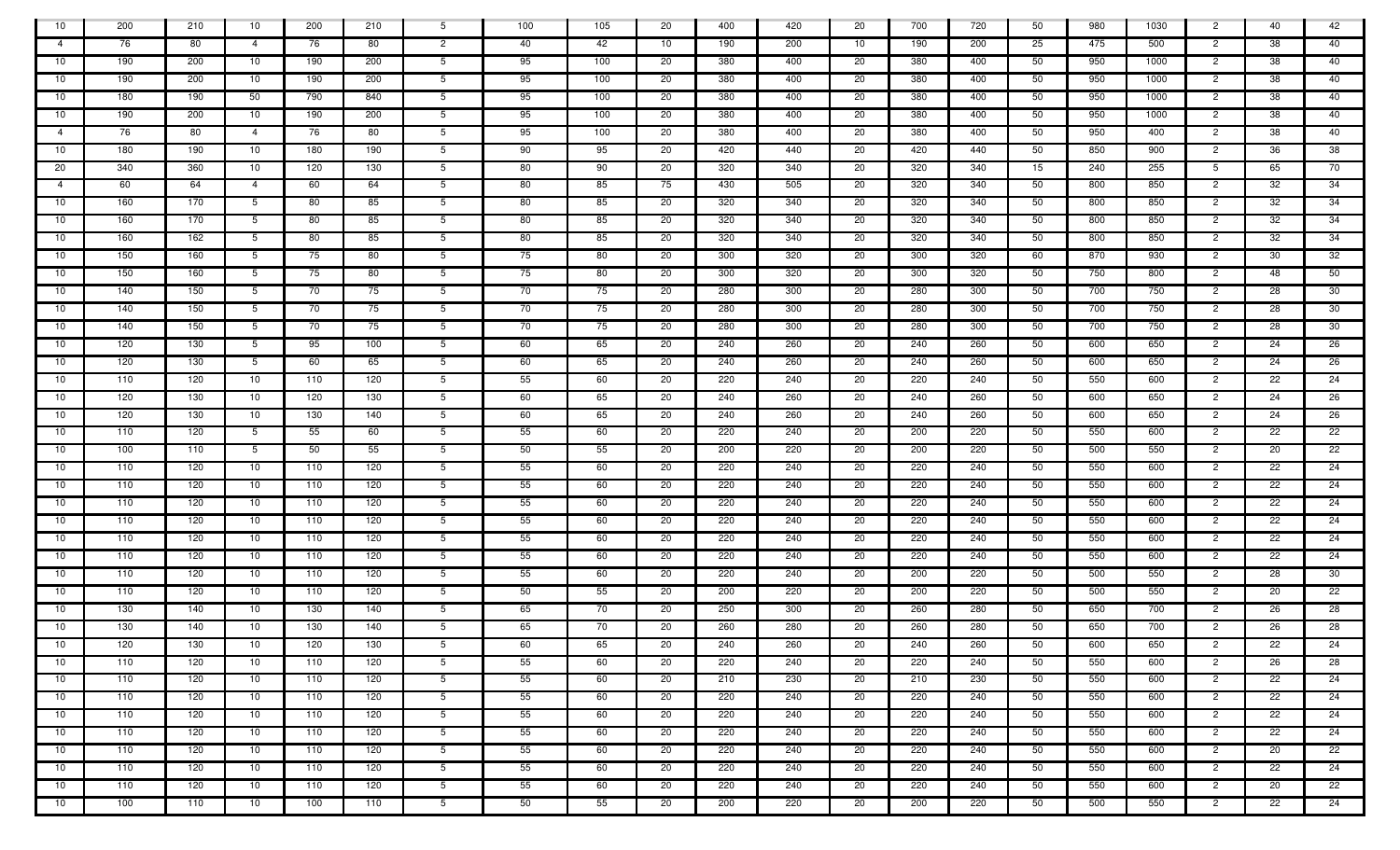| 10             | 200 | 210 | 10             | 200 | 210 | $5^{\circ}$     | 100 | 105 | 20  | 400 | 420 | 20 | 700 | 720 | 50 | 980 | 1030 | $\overline{2}$ | 40      | 42 |
|----------------|-----|-----|----------------|-----|-----|-----------------|-----|-----|-----|-----|-----|----|-----|-----|----|-----|------|----------------|---------|----|
| $\overline{4}$ | 76  | 80  | $\overline{4}$ | 76  | 80  | $\overline{2}$  | 40  | 42  | 10  | 190 | 200 | 10 | 190 | 200 | 25 | 475 | 500  | $\overline{2}$ | 38      | 40 |
| 10             | 190 | 200 | 10             | 190 | 200 | $5^{\circ}$     | 95  | 100 | 20  | 380 | 400 | 20 | 380 | 400 | 50 | 950 | 1000 | $\overline{2}$ | 38      | 40 |
| 10             | 190 | 200 | 10             | 190 | 200 | 5 <sup>5</sup>  | 95  | 100 | 20  | 380 | 400 | 20 | 380 | 400 | 50 | 950 | 1000 | $\overline{2}$ | 38      | 40 |
| 10             | 180 | 190 | 50             | 790 | 840 | 5 <sup>5</sup>  | 95  | 100 | 20  | 380 | 400 | 20 | 380 | 400 | 50 | 950 | 1000 | $\overline{2}$ | 38      | 40 |
| 10             | 190 | 200 | 10             | 190 | 200 | 5               | 95  | 100 | -20 | 380 | 400 | 20 | 380 | 400 | 50 | 950 | 1000 | $\overline{2}$ | 38      | 40 |
| $\overline{4}$ | 76  | 80  | $\overline{4}$ | 76  | 80  | $5^{\circ}$     | 95  | 100 | 20  | 380 | 400 | 20 | 380 | 400 | 50 | 950 | 400  | $\overline{2}$ | 38      | 40 |
| 10             | 180 | 190 | 10             | 180 | 190 | 5               | 90  | 95  | 20  | 420 | 440 | 20 | 420 | 440 | 50 | 850 | 900  | $\overline{2}$ | 36      | 38 |
| 20             | 340 | 360 | 10             | 120 | 130 | 5               | 80  | 90  | 20  | 320 | 340 | 20 | 320 | 340 | 15 | 240 | 255  | 5              | 65      | 70 |
| $\overline{4}$ | 60  | 64  | $\overline{4}$ | 60  | 64  | 5               | 80  | 85  | 75  | 430 | 505 | 20 | 320 | 340 | 50 | 800 | 850  | $\overline{2}$ | 32      | 34 |
| 10             | 160 | 170 | 5              | 80  | 85  | $5\overline{)}$ | 80  | 85  | 20  | 320 | 340 | 20 | 320 | 340 | 50 | 800 | 850  | $\overline{2}$ | 32      | 34 |
| 10             | 160 | 170 | 5              | 80  | 85  | 5 <sub>5</sub>  | 80  | 85  | 20  | 320 | 340 | 20 | 320 | 340 | 50 | 800 | 850  | $\overline{2}$ | 32      | 34 |
| 10             | 160 | 162 | 5              | 80  | 85  | 5 <sub>5</sub>  | 80  | 85  | 20  | 320 | 340 | 20 | 320 | 340 | 50 | 800 | 850  | $\overline{2}$ | 32      | 34 |
| 10             | 150 | 160 | 5              | 75  | 80  | 5 <sup>5</sup>  | 75  | 80  | 20  | 300 | 320 | 20 | 300 | 320 | 60 | 870 | 930  | $\overline{2}$ | 30      | 32 |
| 10             | 150 | 160 | 5              | 75  | 80  | 5 <sup>5</sup>  | 75  | 80  | 20  | 300 | 320 | 20 | 300 | 320 | 50 | 750 | 800  | $\overline{2}$ | 48      | 50 |
| 10             | 140 | 150 | 5              | 70  | 75  | 5 <sup>5</sup>  | 70  | 75  | 20  | 280 | 300 | 20 | 280 | 300 | 50 | 700 | 750  | $\overline{2}$ | 28      | 30 |
| 10             | 140 | 150 | 5              | 70  | 75  | 5 <sup>5</sup>  | 70  | 75  | 20  | 280 | 300 | 20 | 280 | 300 | 50 | 700 | 750  | $\overline{2}$ | 28      | 30 |
| 10             | 140 | 150 | 5              | 70  | 75  | 5 <sup>5</sup>  | 70  | 75  | 20  | 280 | 300 | 20 | 280 | 300 | 50 | 700 | 750  | $\overline{2}$ | 28      | 30 |
| 10             | 120 | 130 | 5 <sup>5</sup> | 95  | 100 | $5^{\circ}$     | 60  | 65  | 20  | 240 | 260 | 20 | 240 | 260 | 50 | 600 | 650  | $\overline{2}$ | 24      | 26 |
| 10             | 120 | 130 | 5              | 60  | 65  | 5 <sup>5</sup>  | 60  | 65  | 20  | 240 | 260 | 20 | 240 | 260 | 50 | 600 | 650  | $\overline{2}$ | 24      | 26 |
| 10             | 110 | 120 | 10             | 110 | 120 | 5 <sup>5</sup>  | 55  | 60  | 20  | 220 | 240 | 20 | 220 | 240 | 50 | 550 | 600  | $\overline{2}$ | 22      | 24 |
| - 10           | 120 | 130 | 10             | 120 | 130 | 5               | 60  | 65  | 20  | 240 | 260 | 20 | 240 | 260 | 50 | 600 | 650  | $\overline{2}$ | 24      | 26 |
| 10             | 120 | 130 | 10             | 130 | 140 | 5 <sup>5</sup>  | 60  | 65  | 20  | 240 | 260 | 20 | 240 | 260 | 50 | 600 | 650  | $\overline{2}$ | 24      | 26 |
| -10            | 110 | 120 | 5              | 55  | 60  | $5^{\circ}$     | 55  | 60  | 20  | 220 | 240 | 20 | 200 | 220 | 50 | 550 | 600  | $\overline{2}$ | 22      | 22 |
| 10             | 100 | 110 | 5              | 50  | 55  | 5 <sup>5</sup>  | 50  | 55  | 20  | 200 | 220 | 20 | 200 | 220 | 50 | 500 | 550  | $\overline{2}$ | 20      | 22 |
| 10             | 110 | 120 | 10             | 110 | 120 | 5 <sup>5</sup>  | 55  | 60  | 20  | 220 | 240 | 20 | 220 | 240 | 50 | 550 | 600  | $\overline{2}$ | 22      | 24 |
| 10             | 110 | 120 | 10             | 110 | 120 | 5 <sup>5</sup>  | 55  | 60  | 20  | 220 | 240 | 20 | 220 | 240 | 50 | 550 | 600  | $\overline{2}$ | 22      | 24 |
| 10             | 110 | 120 | 10             | 110 | 120 | $5^{\circ}$     | 55  | 60  | 20  | 220 | 240 | 20 | 220 | 240 | 50 | 550 | 600  | $\overline{2}$ | 22      | 24 |
| 10             | 110 | 120 | 10             | 110 | 120 | 5 <sup>5</sup>  | 55  | 60  | 20  | 220 | 240 | 20 | 220 | 240 | 50 | 550 | 600  | $\overline{2}$ | $^{22}$ | 24 |
| 10             | 110 | 120 | 10             | 110 | 120 | 5 <sup>5</sup>  | 55  | 60  | 20  | 220 | 240 | 20 | 220 | 240 | 50 | 550 | 600  | $\overline{2}$ | 22      | 24 |
| 10             | 110 | 120 | 10             | 110 | 120 | 5 <sup>5</sup>  | 55  | 60  | 20  | 220 | 240 | 20 | 220 | 240 | 50 | 550 | 600  | $\overline{2}$ | 22      | 24 |
| 10             | 110 | 120 | 10             | 110 | 120 | $5^{\circ}$     | 55  | 60  | 20  | 220 | 240 | 20 | 200 | 220 | 50 | 500 | 550  | $\overline{2}$ | 28      | 30 |
| -10            | 110 | 120 | 10             | 110 | 120 | 5 <sup>5</sup>  | 50  | 55  | 20  | 200 | 220 | 20 | 200 | 220 | 50 | 500 | 550  | $\overline{2}$ | 20      | 22 |
| 10             | 130 | 140 | 10             | 130 | 140 | 5 <sup>5</sup>  | 65  | 70  | 20  | 250 | 300 | 20 | 260 | 280 | 50 | 650 | 700  | $\overline{2}$ | 26      | 28 |
| - 10           | 130 | 140 | 10             | 130 | 140 | 5 <sup>5</sup>  | 65  | 70  | 20  | 260 | 280 | 20 | 260 | 280 | 50 | 650 | 700  | $\overline{2}$ | 26      | 28 |
| 10             | 120 | 130 | 10             | 120 | 130 | $5^{\circ}$     | 60  | 65  | 20  | 240 | 260 | 20 | 240 | 260 | 50 | 600 | 650  | $\overline{c}$ | 22      | 24 |
| 10             | 110 | 120 | 10             | 110 | 120 | 5 <sub>5</sub>  | 55  | 60  | 20  | 220 | 240 | 20 | 220 | 240 | 50 | 550 | 600  | $\overline{2}$ | 26      | 28 |
| 10             | 110 | 120 | 10             | 110 | 120 | 5 <sub>5</sub>  | 55  | 60  | 20  | 210 | 230 | 20 | 210 | 230 | 50 | 550 | 600  | $\overline{2}$ | 22      | 24 |
| 10             | 110 | 120 | 10             | 110 | 120 | 5 <sub>1</sub>  | 55  | 60  | 20  | 220 | 240 | 20 | 220 | 240 | 50 | 550 | 600  | $\overline{2}$ | 22      | 24 |
| 10             | 110 | 120 | 10             | 110 | 120 | $5^{\circ}$     | 55  | 60  | 20  | 220 | 240 | 20 | 220 | 240 | 50 | 550 | 600  | $\overline{2}$ | 22      | 24 |
| 10             | 110 | 120 | 10             | 110 | 120 | $5\overline{)}$ | 55  | 60  | 20  | 220 | 240 | 20 | 220 | 240 | 50 | 550 | 600  | $\overline{2}$ | 22      | 24 |
| 10             | 110 | 120 | 10             | 110 | 120 | 5 <sup>5</sup>  | 55  | 60  | 20  | 220 | 240 | 20 | 220 | 240 | 50 | 550 | 600  | $\overline{2}$ | 20      | 22 |
| 10             | 110 | 120 | 10             | 110 | 120 | 5 <sup>5</sup>  | 55  | 60  | 20  | 220 | 240 | 20 | 220 | 240 | 50 | 550 | 600  | $\overline{2}$ | 22      | 24 |
| 10             | 110 | 120 | 10             | 110 | 120 | 5 <sup>5</sup>  | 55  | 60  | 20  | 220 | 240 | 20 | 220 | 240 | 50 | 550 | 600  | $\overline{2}$ | 20      | 22 |
| 10             | 100 | 110 | 10             | 100 | 110 | 5 <sup>5</sup>  | 50  | 55  | 20  | 200 | 220 | 20 | 200 | 220 | 50 | 500 | 550  | $\overline{c}$ | 22      | 24 |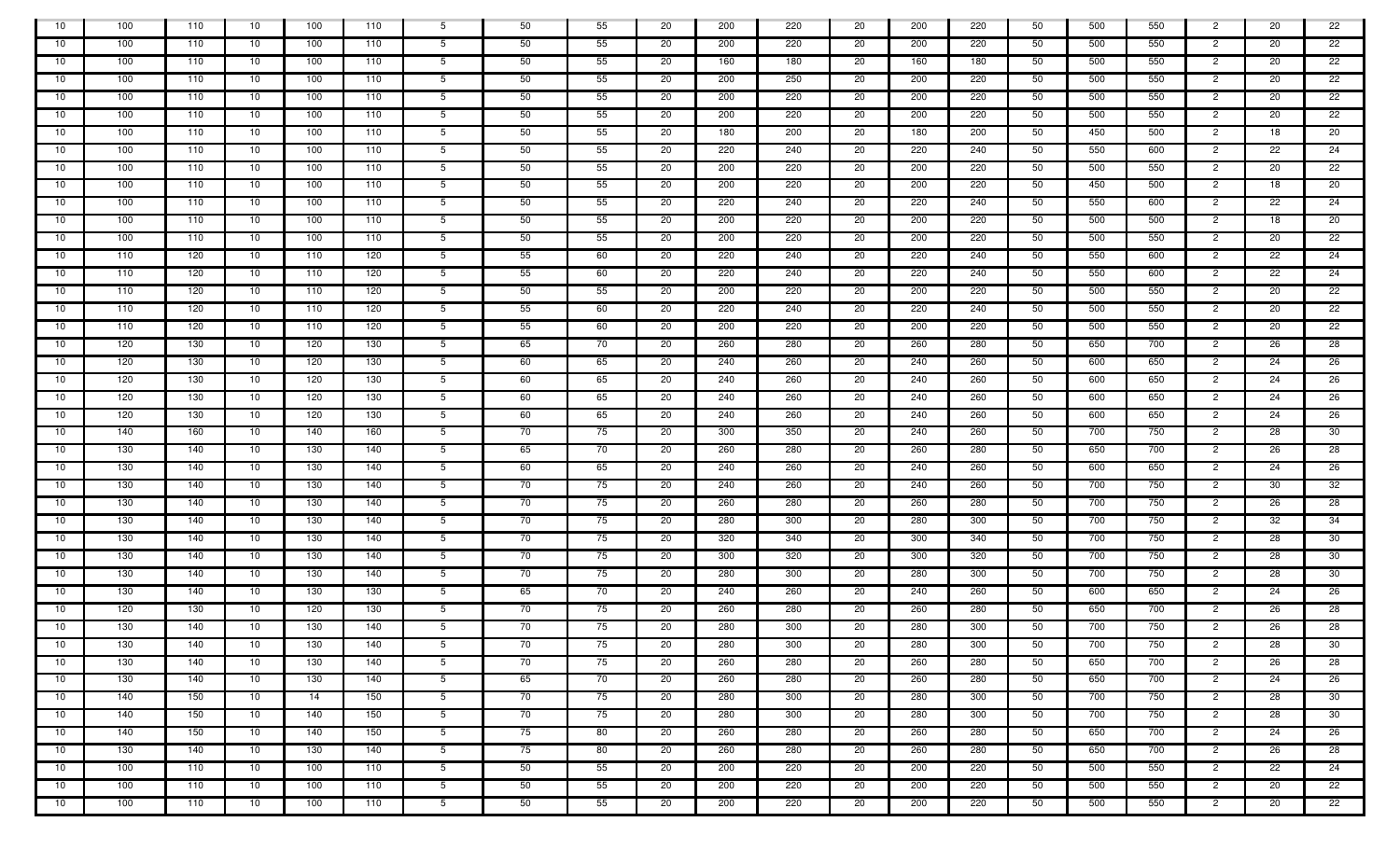| 10   | 100 | 110 | 10 | 100 | 110 | 5               | 50 | 55 | 20  | 200 | 220 | 20 | 200 | 220 | 50 | 500 | 550 | $\overline{2}$ | 20 | 22 |
|------|-----|-----|----|-----|-----|-----------------|----|----|-----|-----|-----|----|-----|-----|----|-----|-----|----------------|----|----|
| 10   | 100 | 110 | 10 | 100 | 110 | 5 <sup>5</sup>  | 50 | 55 | 20  | 200 | 220 | 20 | 200 | 220 | 50 | 500 | 550 | $\overline{2}$ | 20 | 22 |
| 10   | 100 | 110 | 10 | 100 | 110 | 5               | 50 | 55 | 20  | 160 | 180 | 20 | 160 | 180 | 50 | 500 | 550 | $\overline{2}$ | 20 | 22 |
| 10   | 100 | 110 | 10 | 100 | 110 | 5 <sup>5</sup>  | 50 | 55 | 20  | 200 | 250 | 20 | 200 | 220 | 50 | 500 | 550 | $\overline{2}$ | 20 | 22 |
| 10   | 100 | 110 | 10 | 100 | 110 | 5 <sup>5</sup>  | 50 | 55 | 20  | 200 | 220 | 20 | 200 | 220 | 50 | 500 | 550 | $\overline{2}$ | 20 | 22 |
| 10   | 100 | 110 | 10 | 100 | 110 | 5               | 50 | 55 | -20 | 200 | 220 | 20 | 200 | 220 | 50 | 500 | 550 | $\overline{2}$ | 20 | 22 |
| 10   | 100 | 110 | 10 | 100 | 110 | $5^{\circ}$     | 50 | 55 | 20  | 180 | 200 | 20 | 180 | 200 | 50 | 450 | 500 | $\overline{2}$ | 18 | 20 |
| 10   | 100 | 110 | 10 | 100 | 110 | 5               | 50 | 55 | 20  | 220 | 240 | 20 | 220 | 240 | 50 | 550 | 600 | $\overline{2}$ | 22 | 24 |
| 10   | 100 | 110 | 10 | 100 | 110 | 5               | 50 | 55 | 20  | 200 | 220 | 20 | 200 | 220 | 50 | 500 | 550 | $\overline{2}$ | 20 | 22 |
| 10   | 100 | 110 | 10 | 100 | 110 | 5               | 50 | 55 | 20  | 200 | 220 | 20 | 200 | 220 | 50 | 450 | 500 | $\overline{2}$ | 18 | 20 |
| 10   | 100 | 110 | 10 | 100 | 110 | 5               | 50 | 55 | 20  | 220 | 240 | 20 | 220 | 240 | 50 | 550 | 600 | $\overline{2}$ | 22 | 24 |
| 10   | 100 | 110 | 10 | 100 | 110 | 5 <sub>5</sub>  | 50 | 55 | 20  | 200 | 220 | 20 | 200 | 220 | 50 | 500 | 500 | $\overline{2}$ | 18 | 20 |
| 10   | 100 | 110 | 10 | 100 | 110 | 5 <sup>5</sup>  | 50 | 55 | 20  | 200 | 220 | 20 | 200 | 220 | 50 | 500 | 550 | $\overline{2}$ | 20 | 22 |
| 10   | 110 | 120 | 10 | 110 | 120 | 5 <sup>5</sup>  | 55 | 60 | 20  | 220 | 240 | 20 | 220 | 240 | 50 | 550 | 600 | $\overline{2}$ | 22 | 24 |
| 10   | 110 | 120 | 10 | 110 | 120 | 5 <sup>5</sup>  | 55 | 60 | 20  | 220 | 240 | 20 | 220 | 240 | 50 | 550 | 600 | $\overline{2}$ | 22 | 24 |
| 10   | 110 | 120 | 10 | 110 | 120 | 5 <sup>5</sup>  | 50 | 55 | 20  | 200 | 220 | 20 | 200 | 220 | 50 | 500 | 550 | $\overline{2}$ | 20 | 22 |
| 10   | 110 | 120 | 10 | 110 | 120 | 5               | 55 | 60 | 20  | 220 | 240 | 20 | 220 | 240 | 50 | 500 | 550 | $\overline{2}$ | 20 | 22 |
| 10   | 110 | 120 | 10 | 110 | 120 | 5 <sup>5</sup>  | 55 | 60 | 20  | 200 | 220 | 20 | 200 | 220 | 50 | 500 | 550 | $\overline{2}$ | 20 | 22 |
| 10   | 120 | 130 | 10 | 120 | 130 | $5^{\circ}$     | 65 | 70 | 20  | 260 | 280 | 20 | 260 | 280 | 50 | 650 | 700 | $\overline{2}$ | 26 | 28 |
| 10   | 120 | 130 | 10 | 120 | 130 | 5 <sup>5</sup>  | 60 | 65 | 20  | 240 | 260 | 20 | 240 | 260 | 50 | 600 | 650 | $\overline{2}$ | 24 | 26 |
| 10   | 120 | 130 | 10 | 120 | 130 | 5 <sup>5</sup>  | 60 | 65 | 20  | 240 | 260 | 20 | 240 | 260 | 50 | 600 | 650 | $\overline{2}$ | 24 | 26 |
| 10   | 120 | 130 | 10 | 120 | 130 | 5               | 60 | 65 | 20  | 240 | 260 | 20 | 240 | 260 | 50 | 600 | 650 | $\overline{2}$ | 24 | 26 |
| 10   | 120 | 130 | 10 | 120 | 130 | 5 <sup>5</sup>  | 60 | 65 | 20  | 240 | 260 | 20 | 240 | 260 | 50 | 600 | 650 | $\overline{2}$ | 24 | 26 |
| -10  | 140 | 160 | 10 | 140 | 160 | $5^{\circ}$     | 70 | 75 | 20  | 300 | 350 | 20 | 240 | 260 | 50 | 700 | 750 | $\overline{2}$ | 28 | 30 |
| 10   | 130 | 140 | 10 | 130 | 140 | 5 <sup>5</sup>  | 65 | 70 | 20  | 260 | 280 | 20 | 260 | 280 | 50 | 650 | 700 | $\overline{2}$ | 26 | 28 |
| 10   | 130 | 140 | 10 | 130 | 140 | 5 <sup>5</sup>  | 60 | 65 | 20  | 240 | 260 | 20 | 240 | 260 | 50 | 600 | 650 | $\overline{2}$ | 24 | 26 |
| 10   | 130 | 140 | 10 | 130 | 140 | 5 <sup>5</sup>  | 70 | 75 | 20  | 240 | 260 | 20 | 240 | 260 | 50 | 700 | 750 | $\overline{2}$ | 30 | 32 |
| 10   | 130 | 140 | 10 | 130 | 140 | $5^{\circ}$     | 70 | 75 | 20  | 260 | 280 | 20 | 260 | 280 | 50 | 700 | 750 | $\overline{2}$ | 26 | 28 |
| 10   | 130 | 140 | 10 | 130 | 140 | 5 <sup>5</sup>  | 70 | 75 | 20  | 280 | 300 | 20 | 280 | 300 | 50 | 700 | 750 | $\overline{2}$ | 32 | 34 |
| 10   | 130 | 140 | 10 | 130 | 140 | 5 <sup>5</sup>  | 70 | 75 | 20  | 320 | 340 | 20 | 300 | 340 | 50 | 700 | 750 | $\overline{2}$ | 28 | 30 |
| 10   | 130 | 140 | 10 | 130 | 140 | 5 <sup>5</sup>  | 70 | 75 | 20  | 300 | 320 | 20 | 300 | 320 | 50 | 700 | 750 | $\overline{2}$ | 28 | 30 |
| 10   | 130 | 140 | 10 | 130 | 140 | $5^{\circ}$     | 70 | 75 | 20  | 280 | 300 | 20 | 280 | 300 | 50 | 700 | 750 | $\overline{2}$ | 28 | 30 |
| -10  | 130 | 140 | 10 | 130 | 130 | 5 <sup>5</sup>  | 65 | 70 | 20  | 240 | 260 | 20 | 240 | 260 | 50 | 600 | 650 | $\overline{2}$ | 24 | 26 |
| 10   | 120 | 130 | 10 | 120 | 130 | 5 <sup>5</sup>  | 70 | 75 | 20  | 260 | 280 | 20 | 260 | 280 | 50 | 650 | 700 | $\overline{2}$ | 26 | 28 |
| - 10 | 130 | 140 | 10 | 130 | 140 | 5 <sup>5</sup>  | 70 | 75 | 20  | 280 | 300 | 20 | 280 | 300 | 50 | 700 | 750 | $\overline{2}$ | 26 | 28 |
| 10   | 130 | 140 | 10 | 130 | 140 | $5^{\circ}$     | 70 | 75 | 20  | 280 | 300 | 20 | 280 | 300 | 50 | 700 | 750 | $\overline{c}$ | 28 | 30 |
| 10   | 130 | 140 | 10 | 130 | 140 | 5 <sub>5</sub>  | 70 | 75 | 20  | 260 | 280 | 20 | 260 | 280 | 50 | 650 | 700 | $\overline{2}$ | 26 | 28 |
| 10   | 130 | 140 | 10 | 130 | 140 | 5 <sub>5</sub>  | 65 | 70 | 20  | 260 | 280 | 20 | 260 | 280 | 50 | 650 | 700 | $\overline{2}$ | 24 | 26 |
| 10   | 140 | 150 | 10 | 14  | 150 | 5 <sub>1</sub>  | 70 | 75 | 20  | 280 | 300 | 20 | 280 | 300 | 50 | 700 | 750 | $\overline{2}$ | 28 | 30 |
| 10   | 140 | 150 | 10 | 140 | 150 | 5 <sup>5</sup>  | 70 | 75 | 20  | 280 | 300 | 20 | 280 | 300 | 50 | 700 | 750 | $\overline{2}$ | 28 | 30 |
| 10   | 140 | 150 | 10 | 140 | 150 | $5\overline{)}$ | 75 | 80 | 20  | 260 | 280 | 20 | 260 | 280 | 50 | 650 | 700 | $\overline{2}$ | 24 | 26 |
| 10   | 130 | 140 | 10 | 130 | 140 | 5 <sup>5</sup>  | 75 | 80 | 20  | 260 | 280 | 20 | 260 | 280 | 50 | 650 | 700 | $\overline{2}$ | 26 | 28 |
| 10   | 100 | 110 | 10 | 100 | 110 | 5 <sup>5</sup>  | 50 | 55 | 20  | 200 | 220 | 20 | 200 | 220 | 50 | 500 | 550 | $\overline{2}$ | 22 | 24 |
| 10   | 100 | 110 | 10 | 100 | 110 | 5 <sup>5</sup>  | 50 | 55 | 20  | 200 | 220 | 20 | 200 | 220 | 50 | 500 | 550 | $\overline{2}$ | 20 | 22 |
| - 10 | 100 | 110 | 10 | 100 | 110 | 5 <sup>5</sup>  | 50 | 55 | 20  | 200 | 220 | 20 | 200 | 220 | 50 | 500 | 550 | $\overline{c}$ | 20 | 22 |